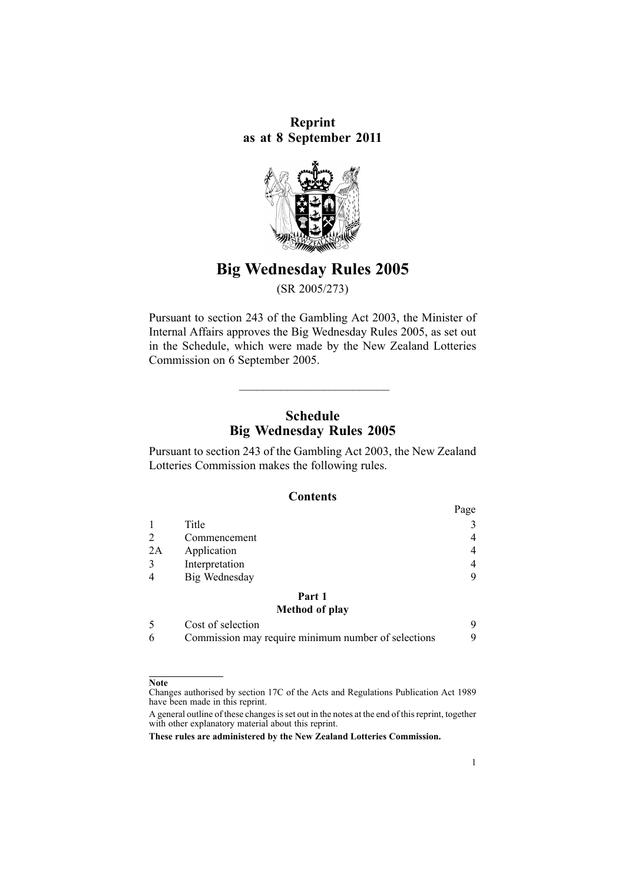**Reprint as at 8 September 2011**



# **Big Wednesday Rules 2005**

(SR 2005/273)

Pursuant to [section](http://www.legislation.govt.nz/pdflink.aspx?id=DLM209744) 243 of the Gambling Act 2003, the Minister of Internal Affairs approves the Big Wednesday Rules 2005, as set out in the Schedule, which were made by the New Zealand Lotteries Commission on 6 September 2005.

# **Schedule Big Wednesday Rules 2005**

\_\_\_\_\_\_\_\_\_\_\_\_\_\_\_\_\_\_\_\_\_\_\_\_\_

Pursuant to [section](http://www.legislation.govt.nz/pdflink.aspx?id=DLM209744) 243 of the Gambling Act 2003, the New Zealand Lotteries Commission makes the following rules.

#### **Contents**

|    |                   | Page |
|----|-------------------|------|
|    | Title             | 3    |
| 2  | Commencement      | 4    |
| 2A | Application       | 4    |
| 3  | Interpretation    | 4    |
| 4  | Big Wednesday     | 9    |
|    | Part 1            |      |
|    | Method of play    |      |
|    | Cost of selection | 9    |

|  | Commission may require minimum number of selections |  |
|--|-----------------------------------------------------|--|
|  |                                                     |  |

#### **Note**

Changes authorised by [section](http://www.legislation.govt.nz/pdflink.aspx?id=DLM195466) 17C of the Acts and Regulations Publication Act 1989 have been made in this reprint.

A general outline of these changes is set out in the notes at the end of this reprint, together with other explanatory material about this reprint.

**These rules are administered by the New Zealand Lotteries Commission.**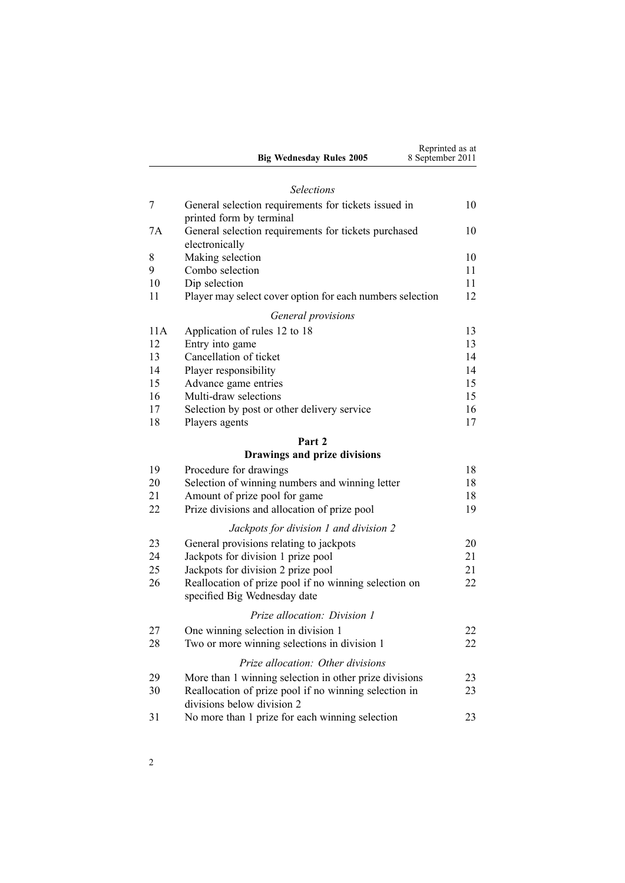|          | <b>Big Wednesday Rules 2005</b>                                                       | Reprinted as at<br>8 September 2011 |
|----------|---------------------------------------------------------------------------------------|-------------------------------------|
|          | <b>Selections</b>                                                                     |                                     |
| 7        | General selection requirements for tickets issued in<br>printed form by terminal      | 10                                  |
| 7A       | General selection requirements for tickets purchased<br>electronically                | 10                                  |
| 8        | Making selection                                                                      | 10                                  |
| 9        | Combo selection                                                                       | 11                                  |
| 10       | Dip selection                                                                         | 11                                  |
| 11       | Player may select cover option for each numbers selection                             | 12                                  |
|          | General provisions                                                                    |                                     |
| 11A      | Application of rules 12 to 18                                                         | 13                                  |
| 12       | Entry into game                                                                       | 13                                  |
| 13       | Cancellation of ticket                                                                | 14                                  |
| 14       | Player responsibility                                                                 | 14                                  |
| 15       | Advance game entries                                                                  | 15                                  |
| 16       | Multi-draw selections                                                                 | 15                                  |
| 17       | Selection by post or other delivery service                                           | 16                                  |
| 18       | Players agents                                                                        | 17                                  |
|          | Part 2<br>Drawings and prize divisions                                                |                                     |
|          |                                                                                       |                                     |
| 19       | Procedure for drawings                                                                | 18                                  |
| 20<br>21 | Selection of winning numbers and winning letter<br>Amount of prize pool for game      | 18<br>18                            |
| 22       | Prize divisions and allocation of prize pool                                          | 19                                  |
|          |                                                                                       |                                     |
|          | Jackpots for division 1 and division 2                                                |                                     |
| 23       | General provisions relating to jackpots                                               | 20                                  |
| 24       | Jackpots for division 1 prize pool                                                    | 21                                  |
| 25       | Jackpots for division 2 prize pool                                                    | 21                                  |
| 26       | Reallocation of prize pool if no winning selection on<br>specified Big Wednesday date | 22                                  |
|          | Prize allocation: Division 1                                                          |                                     |
| 27       | One winning selection in division 1                                                   | 22                                  |
| 28       | Two or more winning selections in division 1                                          | 22                                  |
|          | Prize allocation: Other divisions                                                     |                                     |
| 29       | More than 1 winning selection in other prize divisions                                | 23                                  |
| 30       | Reallocation of prize pool if no winning selection in                                 | 23                                  |
|          | divisions below division 2                                                            |                                     |
| 31       | No more than 1 prize for each winning selection                                       | 23                                  |
|          |                                                                                       |                                     |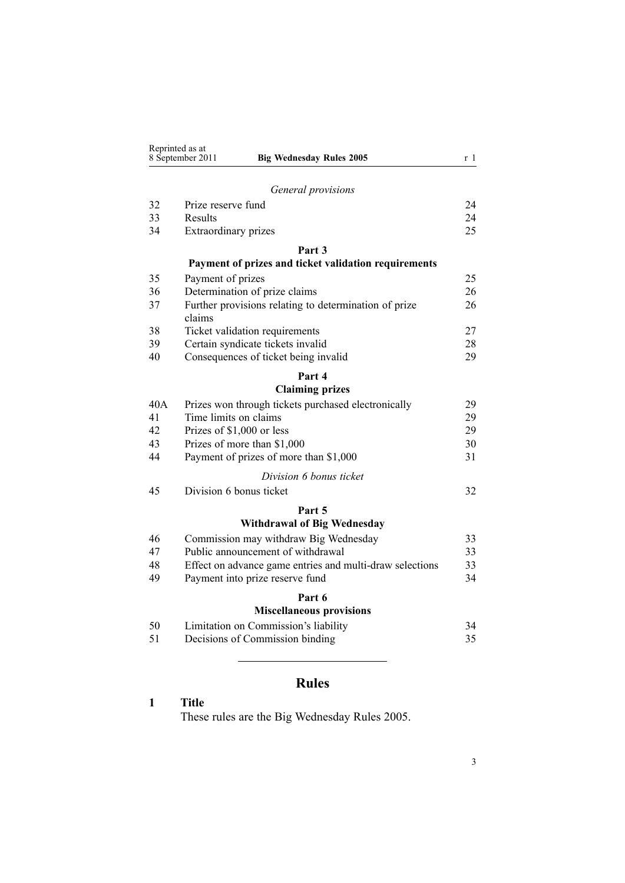<span id="page-2-0"></span>

|     | Reprinted as at<br>8 September 2011<br><b>Big Wednesday Rules 2005</b> | r 1 |
|-----|------------------------------------------------------------------------|-----|
|     |                                                                        |     |
|     | General provisions                                                     |     |
| 32  | Prize reserve fund                                                     | 24  |
| 33  | Results                                                                | 24  |
| 34  | Extraordinary prizes                                                   | 25  |
|     | Part 3                                                                 |     |
|     | Payment of prizes and ticket validation requirements                   |     |
| 35  | Payment of prizes                                                      | 25  |
| 36  | Determination of prize claims                                          | 26  |
| 37  | Further provisions relating to determination of prize                  | 26  |
|     | claims                                                                 |     |
| 38  | Ticket validation requirements                                         | 27  |
| 39  | Certain syndicate tickets invalid                                      | 28  |
| 40  | Consequences of ticket being invalid                                   | 29  |
|     | Part 4                                                                 |     |
|     | <b>Claiming prizes</b>                                                 |     |
| 40A | Prizes won through tickets purchased electronically                    | 29  |
| 41  | Time limits on claims                                                  | 29  |
| 42  | Prizes of \$1,000 or less                                              | 29  |
| 43  | Prizes of more than \$1,000                                            | 30  |
| 44  | Payment of prizes of more than \$1,000                                 | 31  |
|     | Division 6 bonus ticket                                                |     |
| 45  | Division 6 bonus ticket                                                | 32  |
|     | Part 5                                                                 |     |
|     | <b>Withdrawal of Big Wednesday</b>                                     |     |
| 46  | Commission may withdraw Big Wednesday                                  | 33  |
| 47  | Public announcement of withdrawal                                      | 33  |
| 48  | Effect on advance game entries and multi-draw selections               | 33  |
| 49  | Payment into prize reserve fund                                        | 34  |
|     | Part 6                                                                 |     |
|     | <b>Miscellaneous provisions</b>                                        |     |
| 50  | Limitation on Commission's liability                                   | 34  |
| 51  | Decisions of Commission binding                                        | 35  |
|     |                                                                        |     |
|     |                                                                        |     |

# **Rules**

# **1 Title**

These rules are the Big Wednesday Rules 2005.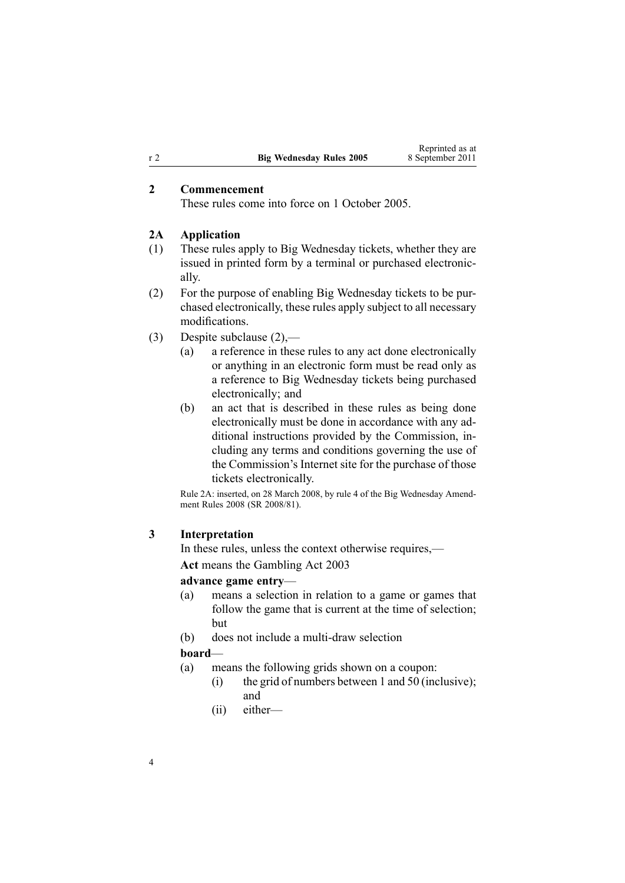## **2 Commencement**

These rules come into force on 1 October 2005.

#### **2A Application**

- (1) These rules apply to Big Wednesday tickets, whether they are issued in printed form by <sup>a</sup> terminal or purchased electronically.
- (2) For the purpose of enabling Big Wednesday tickets to be purchased electronically, these rules apply subject to all necessary modifications.
- (3) Despite subclause (2),—
	- (a) <sup>a</sup> reference in these rules to any act done electronically or anything in an electronic form must be read only as <sup>a</sup> reference to Big Wednesday tickets being purchased electronically; and
	- (b) an act that is described in these rules as being done electronically must be done in accordance with any additional instructions provided by the Commission, including any terms and conditions governing the use of the Commission's Internet site for the purchase of those tickets electronically.

Rule 2A: inserted, on 28 March 2008, by [rule](http://www.legislation.govt.nz/pdflink.aspx?id=DLM1221007) 4 of the Big Wednesday Amendment Rules 2008 (SR 2008/81).

#### **3 Interpretation**

In these rules, unless the context otherwise requires,— **Act** means the [Gambling](http://www.legislation.govt.nz/pdflink.aspx?id=DLM207496) Act 2003

#### **advance game entry**—

- (a) means <sup>a</sup> selection in relation to <sup>a</sup> game or games that follow the game that is current at the time of selection; but
- (b) does not include <sup>a</sup> multi-draw selection

#### **board**—

- (a) means the following grids shown on <sup>a</sup> coupon:
	- (i) the grid of numbers between 1 and 50 (inclusive); and
	- (ii) either—

<span id="page-3-0"></span>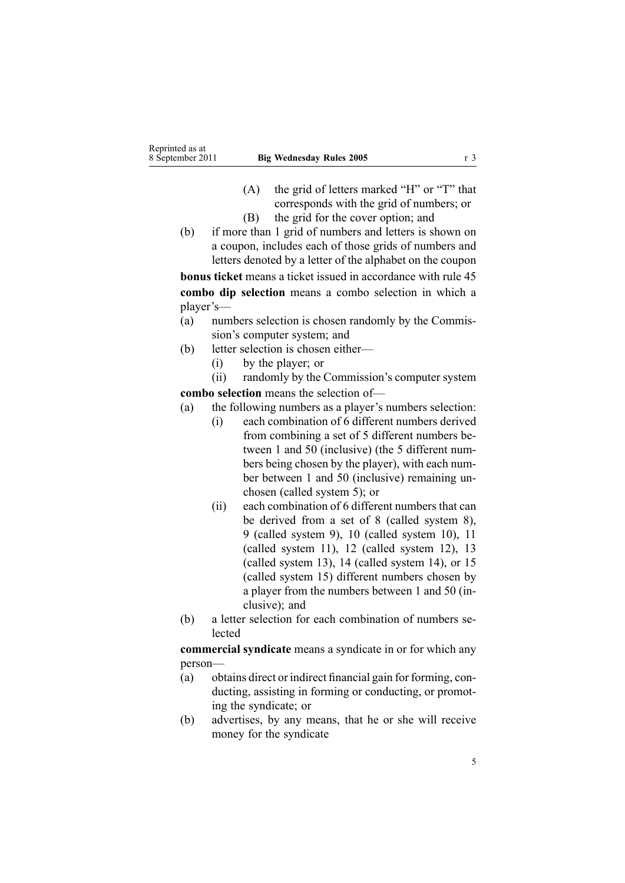- (A) the grid of letters marked "H" or "T" that corresponds with the grid of numbers; or
- (B) the grid for the cover option; and
- (b) if more than 1 grid of numbers and letters is shown on <sup>a</sup> coupon, includes each of those grids of numbers and letters denoted by <sup>a</sup> letter of the alphabet on the coupon

**bonus ticket** means <sup>a</sup> ticket issued in accordance with [rule](#page-31-0) 45 **combo dip selection** means <sup>a</sup> combo selection in which <sup>a</sup> player's—

- (a) numbers selection is chosen randomly by the Commission's computer system; and
- (b) letter selection is chosen either—
	- (i) by the player; or

(ii) randomly by the Commission's computer system **combo selection** means the selection of—

- (a) the following numbers as <sup>a</sup> player's numbers selection:
	- (i) each combination of 6 different numbers derived from combining <sup>a</sup> set of 5 different numbers between 1 and 50 (inclusive) (the 5 different numbers being chosen by the player), with each number between 1 and 50 (inclusive) remaining unchosen (called system 5); or
	- (ii) each combination of 6 different numbers that can be derived from <sup>a</sup> set of 8 (called system 8), 9 (called system 9), 10 (called system 10), 11 (called system 11), 12 (called system 12), 13 (called system 13), 14 (called system 14), or 15 (called system 15) different numbers chosen by <sup>a</sup> player from the numbers between 1 and 50 (inclusive): and
- (b) <sup>a</sup> letter selection for each combination of numbers selected

**commercial syndicate** means <sup>a</sup> syndicate in or for which any person—

- (a) obtains direct or indirect financial gain for forming, conducting, assisting in forming or conducting, or promoting the syndicate; or
- (b) advertises, by any means, that he or she will receive money for the syndicate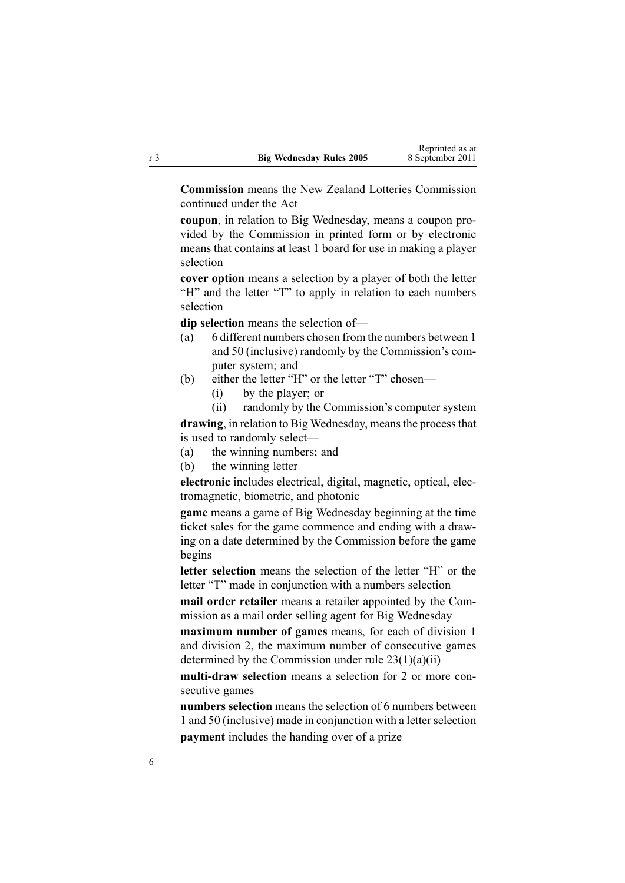**Commission** means the New Zealand Lotteries Commission continued under the Act

**coupon**, in relation to Big Wednesday, means <sup>a</sup> coupon provided by the Commission in printed form or by electronic means that contains at least 1 board for use in making <sup>a</sup> player selection

**cover option** means <sup>a</sup> selection by <sup>a</sup> player of both the letter "H" and the letter "T" to apply in relation to each numbers selection

**dip selection** means the selection of—

- (a) 6 different numbers chosen from the numbers between 1 and 50 (inclusive) randomly by the Commission's computer system; and
- (b) either the letter "H" or the letter "T" chosen—
	- (i) by the player; or
	- (ii) randomly by the Commission's computer system

drawing, in relation to Big Wednesday, means the process that is used to randomly select—

(a) the winning numbers; and

(b) the winning letter

**electronic** includes electrical, digital, magnetic, optical, electromagnetic, biometric, and photonic

**game** means <sup>a</sup> game of Big Wednesday beginning at the time ticket sales for the game commence and ending with <sup>a</sup> drawing on <sup>a</sup> date determined by the Commission before the game begins

**letter selection** means the selection of the letter "H" or the letter "T" made in conjunction with <sup>a</sup> numbers selection

**mail order retailer** means <sup>a</sup> retailer appointed by the Commission as <sup>a</sup> mail order selling agen<sup>t</sup> for Big Wednesday

**maximum number of games** means, for each of division 1 and division 2, the maximum number of consecutive games determined by the Commission under rule  $23(1)(a)(ii)$ 

**multi-draw selection** means <sup>a</sup> selection for 2 or more consecutive games

**numbers selection** means the selection of 6 numbers between 1 and 50 (inclusive) made in conjunction with a letter selection **paymen<sup>t</sup>** includes the handing over of <sup>a</sup> prize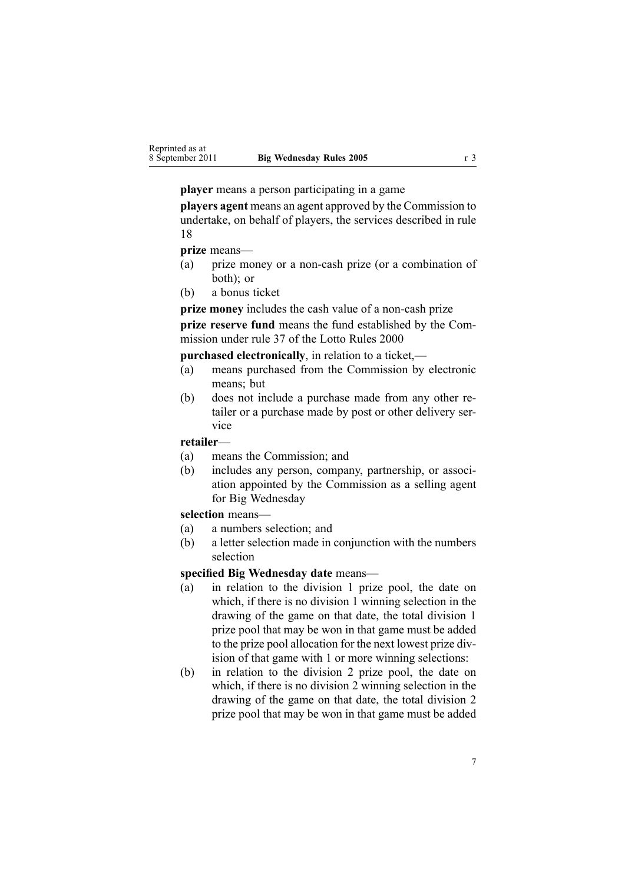**player** means <sup>a</sup> person participating in <sup>a</sup> game

**players agen<sup>t</sup>** means an agen<sup>t</sup> approved by the Commission to undertake, on behalf of players, the services described in rule 18

### **prize** means—

- (a) prize money or <sup>a</sup> non-cash prize (or <sup>a</sup> combination of both); or
- (b) <sup>a</sup> bonus ticket

**prize money** includes the cash value of <sup>a</sup> non-cash prize **prize reserve fund** means the fund established by the Commission under [rule](http://www.legislation.govt.nz/pdflink.aspx?id=DLM19765) 37 of the Lotto Rules 2000

**purchased electronically**, in relation to <sup>a</sup> ticket,—

- (a) means purchased from the Commission by electronic means; but
- (b) does not include <sup>a</sup> purchase made from any other retailer or <sup>a</sup> purchase made by pos<sup>t</sup> or other delivery service

**retailer**—

- (a) means the Commission; and
- (b) includes any person, company, partnership, or association appointed by the Commission as <sup>a</sup> selling agen<sup>t</sup> for Big Wednesday

#### **selection** means—

- (a) <sup>a</sup> numbers selection; and
- (b) <sup>a</sup> letter selection made in conjunction with the numbers selection

#### **specified Big Wednesday date** means—

- (a) in relation to the division 1 prize pool, the date on which, if there is no division 1 winning selection in the drawing of the game on that date, the total division 1 prize pool that may be won in that game must be added to the prize pool allocation for the next lowest prize division of that game with 1 or more winning selections:
- (b) in relation to the division 2 prize pool, the date on which, if there is no division 2 winning selection in the drawing of the game on that date, the total division 2 prize pool that may be won in that game must be added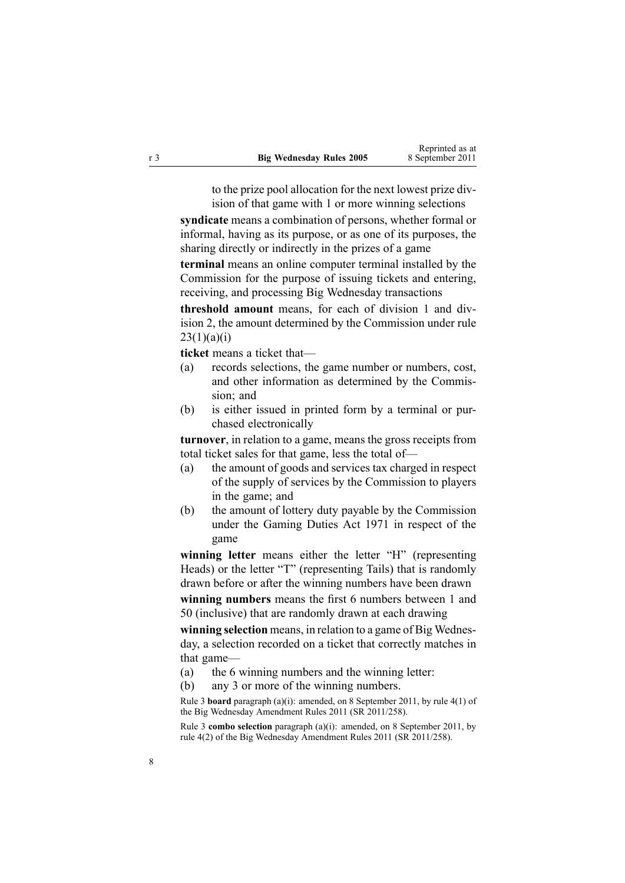to the prize pool allocation for the next lowest prize division of that game with 1 or more winning selections

**syndicate** means <sup>a</sup> combination of persons, whether formal or informal, having as its purpose, or as one of its purposes, the sharing directly or indirectly in the prizes of <sup>a</sup> game

**terminal** means an online computer terminal installed by the Commission for the purpose of issuing tickets and entering, receiving, and processing Big Wednesday transactions

**threshold amount** means, for each of division 1 and division 2, the amount determined by the Commission under [rule](#page-19-0)  $23(1)(a)(i)$ 

**ticket** means <sup>a</sup> ticket that—

- (a) records selections, the game number or numbers, cost, and other information as determined by the Commission; and
- (b) is either issued in printed form by <sup>a</sup> terminal or purchased electronically

**turnover**, in relation to <sup>a</sup> game, means the gross receipts from total ticket sales for that game, less the total of—

- (a) the amount of goods and services tax charged in respec<sup>t</sup> of the supply of services by the Commission to players in the game; and
- (b) the amount of lottery duty payable by the Commission under the [Gaming](http://www.legislation.govt.nz/pdflink.aspx?id=DLM398477) Duties Act 1971 in respec<sup>t</sup> of the game

**winning letter** means either the letter "H" (representing Heads) or the letter "T" (representing Tails) that is randomly drawn before or after the winning numbers have been drawn **winning numbers** means the first 6 numbers between 1 and

50 (inclusive) that are randomly drawn at each drawing

**winning selection** means, in relation to <sup>a</sup> game of Big Wednesday, <sup>a</sup> selection recorded on <sup>a</sup> ticket that correctly matches in that game—

- (a) the 6 winning numbers and the winning letter:
- (b) any 3 or more of the winning numbers.

Rule 3 **board** paragraph (a)(i): amended, on 8 September 2011, by rule [4\(1\)](http://www.legislation.govt.nz/pdflink.aspx?id=DLM3848524) of the Big Wednesday Amendment Rules 2011 (SR 2011/258).

Rule 3 **combo selection** paragraph (a)(i): amended, on 8 September 2011, by rule [4\(2\)](http://www.legislation.govt.nz/pdflink.aspx?id=DLM3848524) of the Big Wednesday Amendment Rules 2011 (SR 2011/258).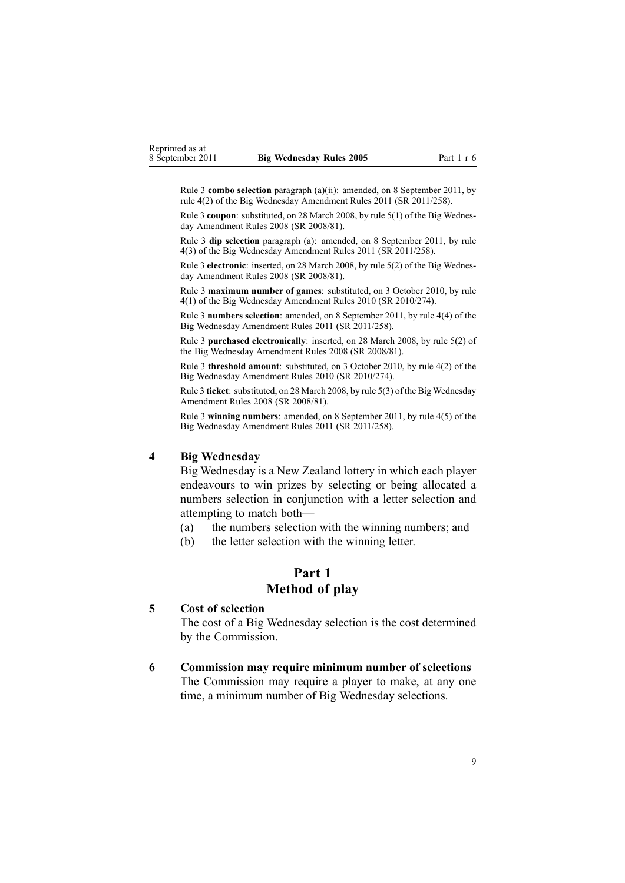<span id="page-8-0"></span>Rule 3 **combo selection** paragraph (a)(ii): amended, on 8 September 2011, by rule [4\(2\)](http://www.legislation.govt.nz/pdflink.aspx?id=DLM3848524) of the Big Wednesday Amendment Rules 2011 (SR 2011/258).

Rule 3 **coupon**: substituted, on 28 March 2008, by rule [5\(1\)](http://www.legislation.govt.nz/pdflink.aspx?id=DLM1221009) of the Big Wednesday Amendment Rules 2008 (SR 2008/81).

Rule 3 **dip selection** paragraph (a): amended, on 8 September 2011, by [rule](http://www.legislation.govt.nz/pdflink.aspx?id=DLM3848524) [4\(3\)](http://www.legislation.govt.nz/pdflink.aspx?id=DLM3848524) of the Big Wednesday Amendment Rules 2011 (SR 2011/258).

Rule 3 **electronic**: inserted, on 28 March 2008, by rule [5\(2\)](http://www.legislation.govt.nz/pdflink.aspx?id=DLM1221009) of the Big Wednesday Amendment Rules 2008 (SR 2008/81).

Rule 3 **maximum number of games**: substituted, on 3 October 2010, by [rule](http://www.legislation.govt.nz/pdflink.aspx?id=DLM3166107) [4\(1\)](http://www.legislation.govt.nz/pdflink.aspx?id=DLM3166107) of the Big Wednesday Amendment Rules 2010 (SR 2010/274).

Rule 3 **numbers selection**: amended, on 8 September 2011, by rule [4\(4\)](http://www.legislation.govt.nz/pdflink.aspx?id=DLM3848524) of the Big Wednesday Amendment Rules 2011 (SR 2011/258).

Rule 3 **purchased electronically**: inserted, on 28 March 2008, by rule [5\(2\)](http://www.legislation.govt.nz/pdflink.aspx?id=DLM1221009) of the Big Wednesday Amendment Rules 2008 (SR 2008/81).

Rule 3 **threshold amount**: substituted, on 3 October 2010, by rule [4\(2\)](http://www.legislation.govt.nz/pdflink.aspx?id=DLM3166107) of the Big Wednesday Amendment Rules 2010 (SR 2010/274).

Rule 3 **ticket**: substituted, on 28 March 2008, by rule [5\(3\)](http://www.legislation.govt.nz/pdflink.aspx?id=DLM1221009) of the Big Wednesday Amendment Rules 2008 (SR 2008/81).

Rule 3 **winning numbers**: amended, on 8 September 2011, by rule [4\(5\)](http://www.legislation.govt.nz/pdflink.aspx?id=DLM3848524) of the Big Wednesday Amendment Rules 2011 (SR 2011/258).

#### **4 Big Wednesday**

Big Wednesday is <sup>a</sup> New Zealand lottery in which each player endeavours to win prizes by selecting or being allocated <sup>a</sup> numbers selection in conjunction with <sup>a</sup> letter selection and attempting to match both—

(a) the numbers selection with the winning numbers; and

(b) the letter selection with the winning letter.

# **Part 1 Method of play**

#### **5 Cost of selection**

The cost of <sup>a</sup> Big Wednesday selection is the cost determined by the Commission.

#### **6 Commission may require minimum number of selections**

The Commission may require <sup>a</sup> player to make, at any one time, <sup>a</sup> minimum number of Big Wednesday selections.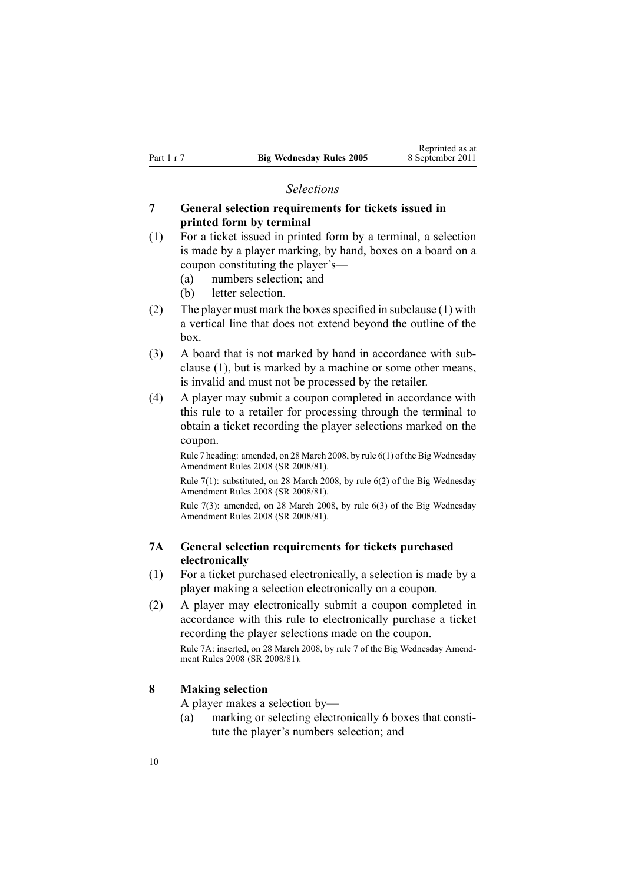#### *Selections*

## <span id="page-9-0"></span>**7 General selection requirements for tickets issued in printed form by terminal**

- (1) For <sup>a</sup> ticket issued in printed form by <sup>a</sup> terminal, <sup>a</sup> selection is made by <sup>a</sup> player marking, by hand, boxes on <sup>a</sup> board on <sup>a</sup> coupon constituting the player's—
	- (a) numbers selection; and
	- (b) letter selection.
- (2) The player must mark the boxes specified in subclause  $(1)$  with <sup>a</sup> vertical line that does not extend beyond the outline of the box.
- (3) A board that is not marked by hand in accordance with subclause (1), but is marked by <sup>a</sup> machine or some other means, is invalid and must not be processed by the retailer.
- (4) A player may submit <sup>a</sup> coupon completed in accordance with this rule to <sup>a</sup> retailer for processing through the terminal to obtain <sup>a</sup> ticket recording the player selections marked on the coupon.

Rule 7 heading: amended, on 28 March 2008, by rule [6\(1\)](http://www.legislation.govt.nz/pdflink.aspx?id=DLM1221020) of the Big Wednesday Amendment Rules 2008 (SR 2008/81).

Rule 7(1): substituted, on 28 March 2008, by rule [6\(2\)](http://www.legislation.govt.nz/pdflink.aspx?id=DLM1221020) of the Big Wednesday Amendment Rules 2008 (SR 2008/81).

Rule 7(3): amended, on 28 March 2008, by rule [6\(3\)](http://www.legislation.govt.nz/pdflink.aspx?id=DLM1221020) of the Big Wednesday Amendment Rules 2008 (SR 2008/81).

## **7A General selection requirements for tickets purchased electronically**

- (1) For <sup>a</sup> ticket purchased electronically, <sup>a</sup> selection is made by <sup>a</sup> player making <sup>a</sup> selection electronically on <sup>a</sup> coupon.
- (2) A player may electronically submit <sup>a</sup> coupon completed in accordance with this rule to electronically purchase <sup>a</sup> ticket recording the player selections made on the coupon.

Rule 7A: inserted, on 28 March 2008, by [rule](http://www.legislation.govt.nz/pdflink.aspx?id=DLM1221021) 7 of the Big Wednesday Amendment Rules 2008 (SR 2008/81).

## **8 Making selection**

A player makes <sup>a</sup> selection by—

(a) marking or selecting electronically 6 boxes that constitute the player's numbers selection; and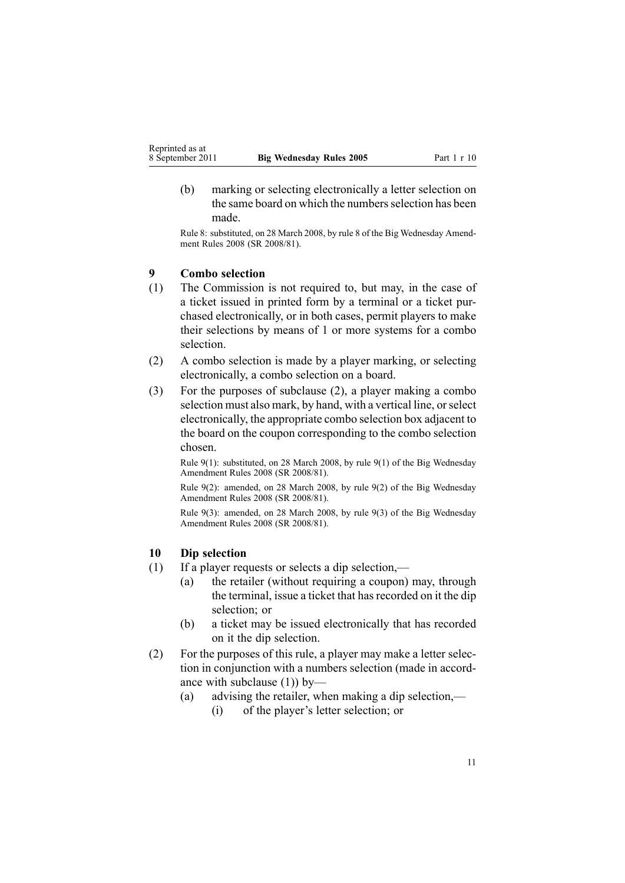<span id="page-10-0"></span>(b) marking or selecting electronically <sup>a</sup> letter selection on the same board on which the numbers selection has been made.

Rule 8: substituted, on 28 March 2008, by [rule](http://www.legislation.govt.nz/pdflink.aspx?id=DLM1221023) 8 of the Big Wednesday Amendment Rules 2008 (SR 2008/81).

# **9 Combo selection**

- (1) The Commission is not required to, but may, in the case of <sup>a</sup> ticket issued in printed form by <sup>a</sup> terminal or <sup>a</sup> ticket purchased electronically, or in both cases, permit players to make their selections by means of 1 or more systems for <sup>a</sup> combo selection.
- (2) A combo selection is made by <sup>a</sup> player marking, or selecting electronically, <sup>a</sup> combo selection on <sup>a</sup> board.
- (3) For the purposes of subclause (2), <sup>a</sup> player making <sup>a</sup> combo selection must also mark, by hand, with <sup>a</sup> vertical line, orselect electronically, the appropriate combo selection box adjacent to the board on the coupon corresponding to the combo selection chosen.

Rule 9(1): substituted, on 28 March 2008, by rule [9\(1\)](http://www.legislation.govt.nz/pdflink.aspx?id=DLM1221025) of the Big Wednesday Amendment Rules 2008 (SR 2008/81).

Rule 9(2): amended, on 28 March 2008, by rule [9\(2\)](http://www.legislation.govt.nz/pdflink.aspx?id=DLM1221025) of the Big Wednesday Amendment Rules 2008 (SR 2008/81).

Rule 9(3): amended, on 28 March 2008, by rule [9\(3\)](http://www.legislation.govt.nz/pdflink.aspx?id=DLM1221025) of the Big Wednesday Amendment Rules 2008 (SR 2008/81).

#### **10 Dip selection**

- (1) If <sup>a</sup> player requests or selects <sup>a</sup> dip selection,—
	- (a) the retailer (without requiring <sup>a</sup> coupon) may, through the terminal, issue a ticket that has recorded on it the dip selection; or
	- (b) <sup>a</sup> ticket may be issued electronically that has recorded on it the dip selection.
- (2) For the purposes of this rule, <sup>a</sup> player may make <sup>a</sup> letter selection in conjunction with <sup>a</sup> numbers selection (made in accordance with subclause (1)) by—
	- (a) advising the retailer, when making <sup>a</sup> dip selection,— (i) of the player's letter selection; or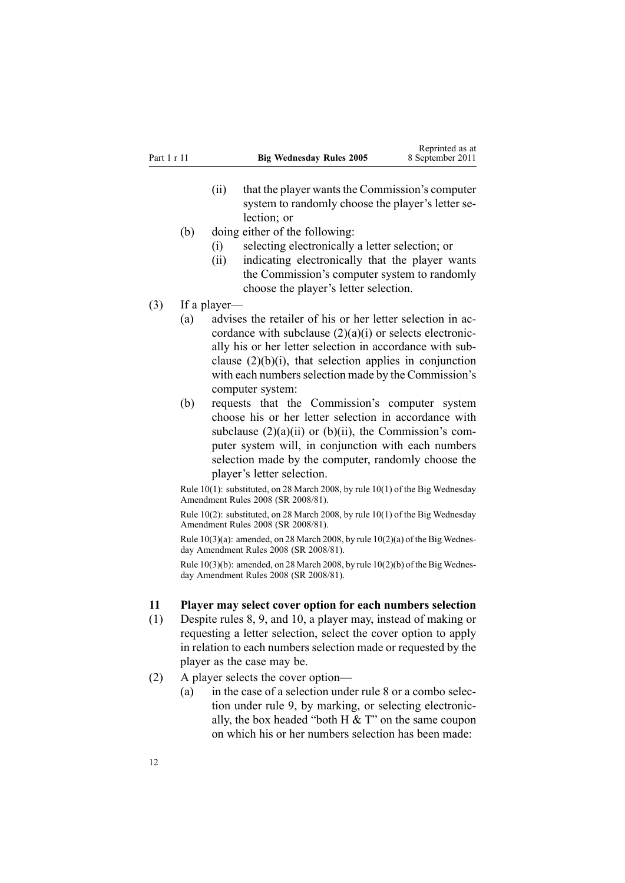- <span id="page-11-0"></span> $(ii)$  that the player wants the Commission's computer system to randomly choose the player's letter selection; or
- (b) doing either of the following:
	- (i) selecting electronically <sup>a</sup> letter selection; or
	- (ii) indicating electronically that the player wants the Commission's computer system to randomly choose the player's letter selection.
- (3) If <sup>a</sup> player—
	- (a) advises the retailer of his or her letter selection in accordance with subclause  $(2)(a)(i)$  or selects electronically his or her letter selection in accordance with subclause  $(2)(b)(i)$ , that selection applies in conjunction with each numbers selection made by the Commission's computer system:
	- (b) requests that the Commission's computer system choose his or her letter selection in accordance with subclause  $(2)(a)(ii)$  or  $(b)(ii)$ , the Commission's computer system will, in conjunction with each numbers selection made by the computer, randomly choose the player's letter selection.

Rule 10(1): substituted, on 28 March 2008, by rule [10\(1\)](http://www.legislation.govt.nz/pdflink.aspx?id=DLM1221026) of the Big Wednesday Amendment Rules 2008 (SR 2008/81).

Rule 10(2): substituted, on 28 March 2008, by rule [10\(1\)](http://www.legislation.govt.nz/pdflink.aspx?id=DLM1221026) of the Big Wednesday Amendment Rules 2008 (SR 2008/81).

Rule  $10(3)(a)$ : amended, on 28 March 2008, by rule  $10(2)(a)$  of the Big Wednesday Amendment Rules 2008 (SR 2008/81).

Rule  $10(3)(b)$ : amended, on 28 March 2008, by rule  $10(2)(b)$  of the Big Wednesday Amendment Rules 2008 (SR 2008/81).

## **11 Player may select cover option for each numbers selection**

- (1) Despite [rules](#page-9-0) 8, [9](#page-10-0), and [10](#page-10-0), <sup>a</sup> player may, instead of making or requesting <sup>a</sup> letter selection, select the cover option to apply in relation to each numbers selection made or requested by the player as the case may be.
- (2) A player selects the cover option—
	- (a) in the case of <sup>a</sup> selection under [rule](#page-9-0) 8 or <sup>a</sup> combo selection under [rule](#page-10-0) 9, by marking, or selecting electronically, the box headed "both  $H \& T$ " on the same coupon on which his or her numbers selection has been made: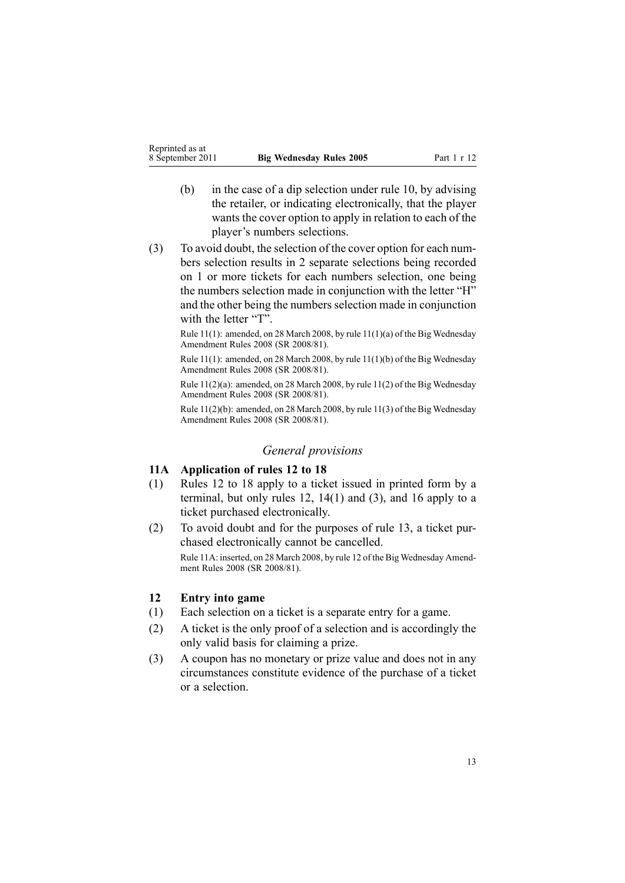- <span id="page-12-0"></span>(b) in the case of <sup>a</sup> dip selection under [rule](#page-10-0) 10, by advising the retailer, or indicating electronically, that the player wants the cover option to apply in relation to each of the player's numbers selections.
- (3) To avoid doubt, the selection of the cover option for each numbers selection results in 2 separate selections being recorded on 1 or more tickets for each numbers selection, one being the numbers selection made in conjunction with the letter "H" and the other being the numbers selection made in conjunction with the letter "T".

Rule 11(1): amended, on 28 March 2008, by rule [11\(1\)\(a\)](http://www.legislation.govt.nz/pdflink.aspx?id=DLM1221027) of the Big Wednesday Amendment Rules 2008 (SR 2008/81).

Rule 11(1): amended, on 28 March 2008, by rule [11\(1\)\(b\)](http://www.legislation.govt.nz/pdflink.aspx?id=DLM1221027) of the Big Wednesday Amendment Rules 2008 (SR 2008/81).

Rule 11(2)(a): amended, on 28 March 2008, by rule [11\(2\)](http://www.legislation.govt.nz/pdflink.aspx?id=DLM1221027) of the Big Wednesday Amendment Rules 2008 (SR 2008/81).

Rule 11(2)(b): amended, on 28 March 2008, by rule [11\(3\)](http://www.legislation.govt.nz/pdflink.aspx?id=DLM1221027) of the Big Wednesday Amendment Rules 2008 (SR 2008/81).

#### *General provisions*

## **11A Application of rules 12 to 18**

- (1) Rules 12 to 18 apply to <sup>a</sup> ticket issued in printed form by <sup>a</sup> terminal, but only rules 12, [14\(1\)](#page-13-0) and (3), and [16](#page-14-0) apply to <sup>a</sup> ticket purchased electronically.
- (2) To avoid doubt and for the purposes of [rule](#page-13-0) 13, <sup>a</sup> ticket purchased electronically cannot be cancelled. Rule 11A: inserted, on 28 March 2008, by [rule](http://www.legislation.govt.nz/pdflink.aspx?id=DLM1221028) 12 of the Big Wednesday Amendment Rules 2008 (SR 2008/81).

## **12 Entry into game**

- (1) Each selection on <sup>a</sup> ticket is <sup>a</sup> separate entry for <sup>a</sup> game.
- (2) A ticket is the only proof of <sup>a</sup> selection and is accordingly the only valid basis for claiming <sup>a</sup> prize.
- (3) A coupon has no monetary or prize value and does not in any circumstances constitute evidence of the purchase of <sup>a</sup> ticket or <sup>a</sup> selection.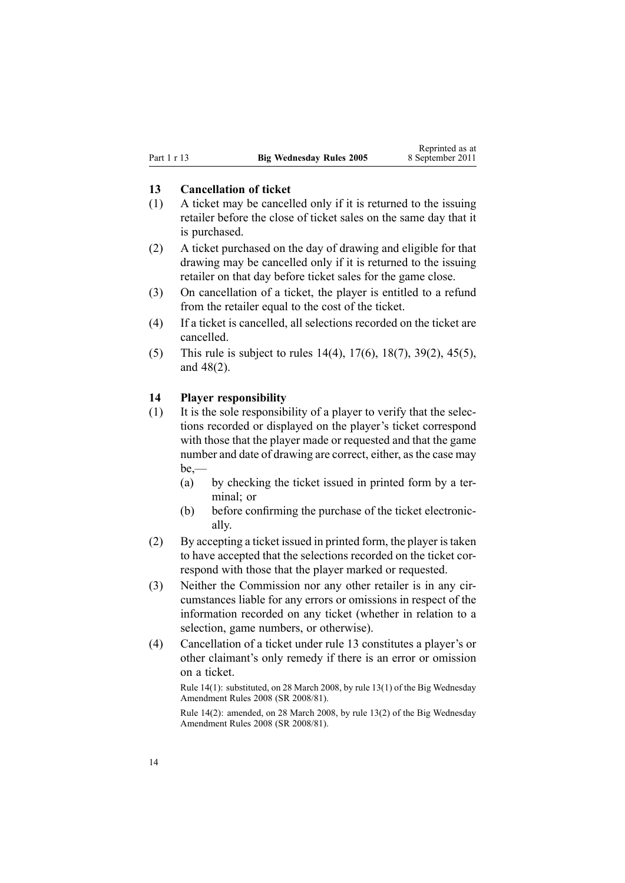### <span id="page-13-0"></span>**13 Cancellation of ticket**

- (1) A ticket may be cancelled only if it is returned to the issuing retailer before the close of ticket sales on the same day that it is purchased.
- (2) A ticket purchased on the day of drawing and eligible for that drawing may be cancelled only if it is returned to the issuing retailer on that day before ticket sales for the game close.
- (3) On cancellation of <sup>a</sup> ticket, the player is entitled to <sup>a</sup> refund from the retailer equal to the cost of the ticket.
- (4) If <sup>a</sup> ticket is cancelled, all selections recorded on the ticket are cancelled.
- (5) This rule is subject to rules 14(4), [17\(6\)](#page-15-0), [18\(7\)](#page-16-0), [39\(2\)](#page-27-0), [45\(5\)](#page-31-0), and [48\(2\)](#page-32-0).

#### **14 Player responsibility**

- (1) It is the sole responsibility of <sup>a</sup> player to verify that the selections recorded or displayed on the player's ticket correspond with those that the player made or requested and that the game number and date of drawing are correct, either, as the case may be,—
	- (a) by checking the ticket issued in printed form by <sup>a</sup> terminal; or
	- (b) before confirming the purchase of the ticket electronically.
- (2) By accepting <sup>a</sup> ticket issued in printed form, the player istaken to have accepted that the selections recorded on the ticket correspond with those that the player marked or requested.
- (3) Neither the Commission nor any other retailer is in any circumstances liable for any errors or omissions in respec<sup>t</sup> of the information recorded on any ticket (whether in relation to <sup>a</sup> selection, game numbers, or otherwise).
- (4) Cancellation of <sup>a</sup> ticket under rule 13 constitutes <sup>a</sup> player's or other claimant's only remedy if there is an error or omission on <sup>a</sup> ticket.

Rule 14(1): substituted, on 28 March 2008, by rule [13\(1\)](http://www.legislation.govt.nz/pdflink.aspx?id=DLM1221030) of the Big Wednesday Amendment Rules 2008 (SR 2008/81).

Rule 14(2): amended, on 28 March 2008, by rule [13\(2\)](http://www.legislation.govt.nz/pdflink.aspx?id=DLM1221030) of the Big Wednesday Amendment Rules 2008 (SR 2008/81).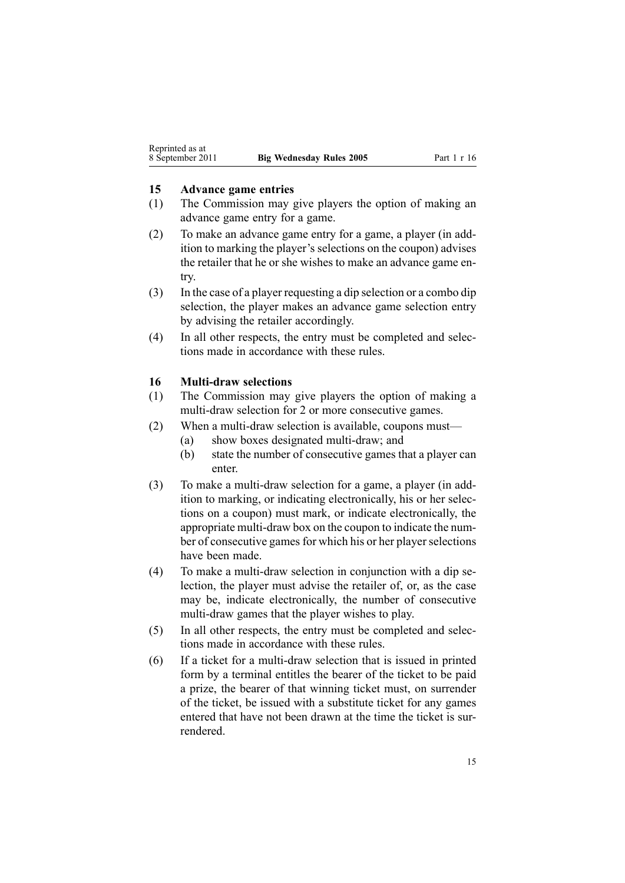#### <span id="page-14-0"></span>**15 Advance game entries**

- (1) The Commission may give players the option of making an advance game entry for <sup>a</sup> game.
- (2) To make an advance game entry for <sup>a</sup> game, <sup>a</sup> player (in addition to marking the player's selections on the coupon) advises the retailer that he or she wishes to make an advance game entry.
- (3) In the case of <sup>a</sup> player requesting <sup>a</sup> dip selection or <sup>a</sup> combo dip selection, the player makes an advance game selection entry by advising the retailer accordingly.
- (4) In all other respects, the entry must be completed and selections made in accordance with these rules.

#### **16 Multi-draw selections**

- (1) The Commission may give players the option of making <sup>a</sup> multi-draw selection for 2 or more consecutive games.
- (2) When <sup>a</sup> multi-draw selection is available, coupons must—
	- (a) show boxes designated multi-draw; and
	- (b) state the number of consecutive games that <sup>a</sup> player can enter.
- (3) To make <sup>a</sup> multi-draw selection for <sup>a</sup> game, <sup>a</sup> player (in addition to marking, or indicating electronically, his or her selections on <sup>a</sup> coupon) must mark, or indicate electronically, the appropriate multi-draw box on the coupon to indicate the number of consecutive games for which his or her player selections have been made.
- (4) To make <sup>a</sup> multi-draw selection in conjunction with <sup>a</sup> dip selection, the player must advise the retailer of, or, as the case may be, indicate electronically, the number of consecutive multi-draw games that the player wishes to play.
- (5) In all other respects, the entry must be completed and selections made in accordance with these rules.
- (6) If <sup>a</sup> ticket for <sup>a</sup> multi-draw selection that is issued in printed form by <sup>a</sup> terminal entitles the bearer of the ticket to be paid <sup>a</sup> prize, the bearer of that winning ticket must, on surrender of the ticket, be issued with <sup>a</sup> substitute ticket for any games entered that have not been drawn at the time the ticket is surrendered.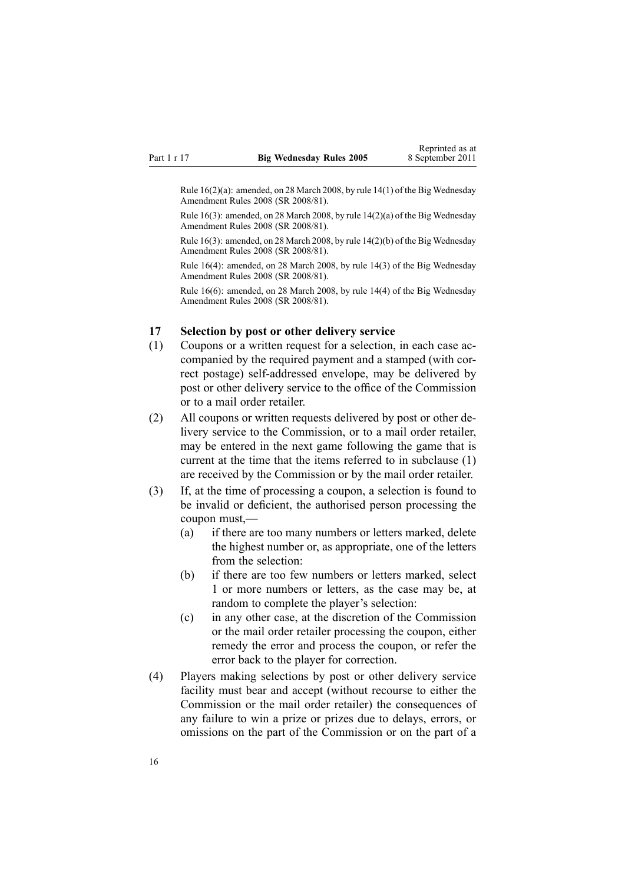<span id="page-15-0"></span>Rule 16(2)(a): amended, on 28 March 2008, by rule [14\(1\)](http://www.legislation.govt.nz/pdflink.aspx?id=DLM1221031) of the Big Wednesday Amendment Rules 2008 (SR 2008/81).

Rule 16(3): amended, on 28 March 2008, by rule [14\(2\)\(a\)](http://www.legislation.govt.nz/pdflink.aspx?id=DLM1221031) of the Big Wednesday Amendment Rules 2008 (SR 2008/81).

Rule 16(3): amended, on 28 March 2008, by rule [14\(2\)\(b\)](http://www.legislation.govt.nz/pdflink.aspx?id=DLM1221031) of the Big Wednesday Amendment Rules 2008 (SR 2008/81).

Rule 16(4): amended, on 28 March 2008, by rule [14\(3\)](http://www.legislation.govt.nz/pdflink.aspx?id=DLM1221031) of the Big Wednesday Amendment Rules 2008 (SR 2008/81).

Rule 16(6): amended, on 28 March 2008, by rule [14\(4\)](http://www.legislation.govt.nz/pdflink.aspx?id=DLM1221031) of the Big Wednesday Amendment Rules 2008 (SR 2008/81).

#### **17 Selection by post or other delivery service**

- (1) Coupons or <sup>a</sup> written reques<sup>t</sup> for <sup>a</sup> selection, in each case accompanied by the required paymen<sup>t</sup> and <sup>a</sup> stamped (with correct postage) self-addressed envelope, may be delivered by pos<sup>t</sup> or other delivery service to the office of the Commission or to <sup>a</sup> mail order retailer.
- (2) All coupons or written requests delivered by pos<sup>t</sup> or other delivery service to the Commission, or to <sup>a</sup> mail order retailer, may be entered in the next game following the game that is current at the time that the items referred to in subclause (1) are received by the Commission or by the mail order retailer.
- (3) If, at the time of processing <sup>a</sup> coupon, <sup>a</sup> selection is found to be invalid or deficient, the authorised person processing the coupon must,—
	- (a) if there are too many numbers or letters marked, delete the highest number or, as appropriate, one of the letters from the selection:
	- (b) if there are too few numbers or letters marked, select 1 or more numbers or letters, as the case may be, at random to complete the player's selection:
	- (c) in any other case, at the discretion of the Commission or the mail order retailer processing the coupon, either remedy the error and process the coupon, or refer the error back to the player for correction.
- (4) Players making selections by pos<sup>t</sup> or other delivery service facility must bear and accep<sup>t</sup> (without recourse to either the Commission or the mail order retailer) the consequences of any failure to win <sup>a</sup> prize or prizes due to delays, errors, or omissions on the par<sup>t</sup> of the Commission or on the par<sup>t</sup> of <sup>a</sup>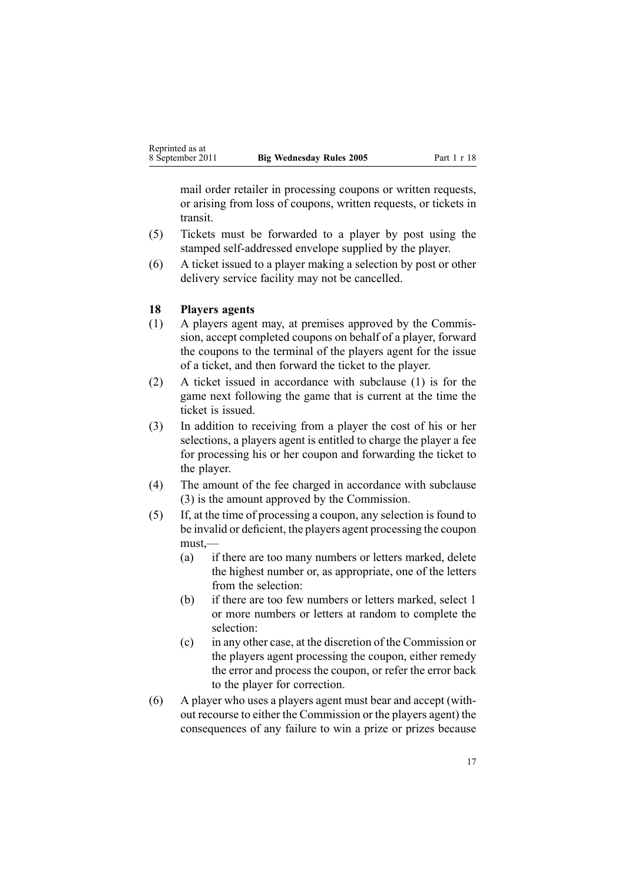<span id="page-16-0"></span>mail order retailer in processing coupons or written requests, or arising from loss of coupons, written requests, or tickets in transit.

- (5) Tickets must be forwarded to <sup>a</sup> player by pos<sup>t</sup> using the stamped self-addressed envelope supplied by the player.
- (6) A ticket issued to <sup>a</sup> player making <sup>a</sup> selection by pos<sup>t</sup> or other delivery service facility may not be cancelled.

## **18 Players agents**

- (1) A players agen<sup>t</sup> may, at premises approved by the Commission, accep<sup>t</sup> completed coupons on behalf of <sup>a</sup> player, forward the coupons to the terminal of the players agen<sup>t</sup> for the issue of <sup>a</sup> ticket, and then forward the ticket to the player.
- (2) A ticket issued in accordance with subclause (1) is for the game next following the game that is current at the time the ticket is issued.
- (3) In addition to receiving from <sup>a</sup> player the cost of his or her selections, <sup>a</sup> players agen<sup>t</sup> is entitled to charge the player <sup>a</sup> fee for processing his or her coupon and forwarding the ticket to the player.
- (4) The amount of the fee charged in accordance with subclause (3) is the amount approved by the Commission.
- (5) If, at the time of processing <sup>a</sup> coupon, any selection is found to be invalid or deficient, the players agen<sup>t</sup> processing the coupon must,—
	- (a) if there are too many numbers or letters marked, delete the highest number or, as appropriate, one of the letters from the selection:
	- (b) if there are too few numbers or letters marked, select 1 or more numbers or letters at random to complete the selection:
	- (c) in any other case, at the discretion of the Commission or the players agen<sup>t</sup> processing the coupon, either remedy the error and process the coupon, or refer the error back to the player for correction.
- (6) A player who uses <sup>a</sup> players agen<sup>t</sup> must bear and accep<sup>t</sup> (without recourse to either the Commission or the players agent) the consequences of any failure to win <sup>a</sup> prize or prizes because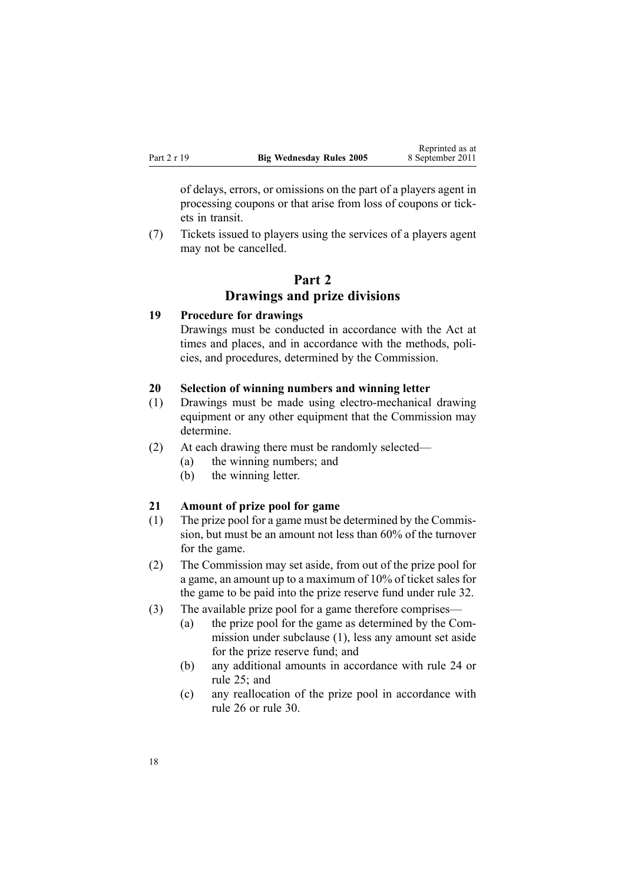<span id="page-17-0"></span>of delays, errors, or omissions on the par<sup>t</sup> of <sup>a</sup> players agen<sup>t</sup> in processing coupons or that arise from loss of coupons or tickets in transit.

(7) Tickets issued to players using the services of <sup>a</sup> players agen<sup>t</sup> may not be cancelled.

# **Part 2 Drawings and prize divisions**

#### **19 Procedure for drawings**

Drawings must be conducted in accordance with the Act at times and places, and in accordance with the methods, policies, and procedures, determined by the Commission.

## **20 Selection of winning numbers and winning letter**

- (1) Drawings must be made using electro-mechanical drawing equipment or any other equipment that the Commission may determine.
- (2) At each drawing there must be randomly selected—
	- (a) the winning numbers; and
	- (b) the winning letter.

## **21 Amount of prize pool for game**

- (1) The prize pool for <sup>a</sup> game must be determined by the Commission, but must be an amount not less than 60% of the turnover for the game.
- (2) The Commission may set aside, from out of the prize pool for <sup>a</sup> game, an amount up to <sup>a</sup> maximum of 10% of ticket sales for the game to be paid into the prize reserve fund under [rule](#page-23-0) 32.
- (3) The available prize pool for <sup>a</sup> game therefore comprises—
	- (a) the prize pool for the game as determined by the Commission under subclause (1), less any amount set aside for the prize reserve fund; and
	- (b) any additional amounts in accordance with [rule](#page-20-0) 24 or [rule](#page-20-0) 25; and
	- (c) any reallocation of the prize pool in accordance with [rule](#page-21-0) 26 or [rule](#page-22-0) 30.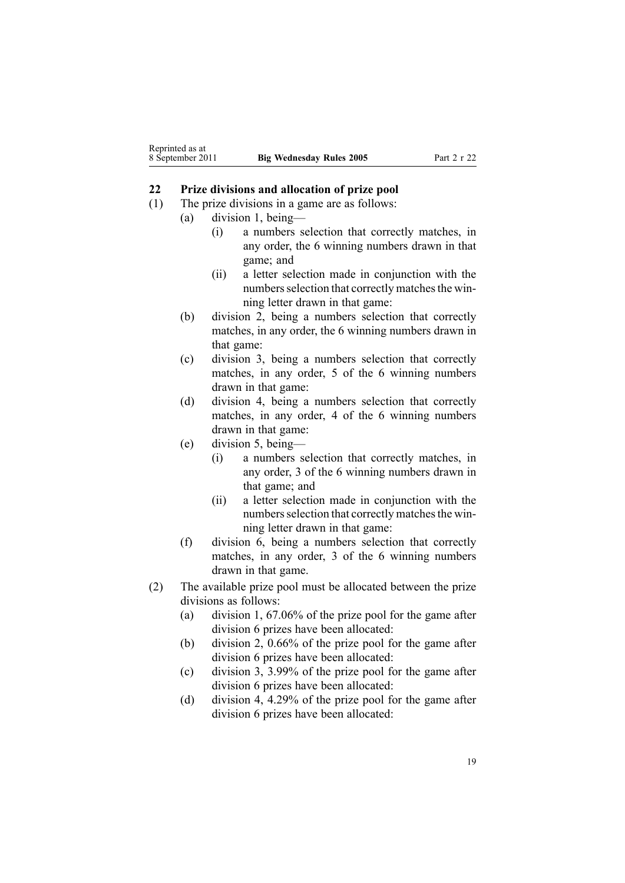#### <span id="page-18-0"></span>**22 Prize divisions and allocation of prize pool**

- (1) The prize divisions in <sup>a</sup> game are as follows:
	- (a) division 1, being—
		- (i) <sup>a</sup> numbers selection that correctly matches, in any order, the 6 winning numbers drawn in that game; and
		- (ii) <sup>a</sup> letter selection made in conjunction with the numbers selection that correctly matches the winning letter drawn in that game:
	- (b) division 2, being <sup>a</sup> numbers selection that correctly matches, in any order, the 6 winning numbers drawn in that game:
	- (c) division 3, being <sup>a</sup> numbers selection that correctly matches, in any order, 5 of the 6 winning numbers drawn in that game:
	- (d) division 4, being <sup>a</sup> numbers selection that correctly matches, in any order, 4 of the 6 winning numbers drawn in that game:
	- (e) division 5, being—
		- (i) <sup>a</sup> numbers selection that correctly matches, in any order, 3 of the 6 winning numbers drawn in that game; and
		- (ii) <sup>a</sup> letter selection made in conjunction with the numbers selection that correctly matches the winning letter drawn in that game:
	- (f) division 6, being <sup>a</sup> numbers selection that correctly matches, in any order, 3 of the 6 winning numbers drawn in that game.
- (2) The available prize pool must be allocated between the prize divisions as follows:
	- (a) division 1, 67.06% of the prize pool for the game after division 6 prizes have been allocated:
	- (b) division 2, 0.66% of the prize pool for the game after division 6 prizes have been allocated:
	- (c) division 3, 3.99% of the prize pool for the game after division 6 prizes have been allocated:
	- (d) division 4, 4.29% of the prize pool for the game after division 6 prizes have been allocated: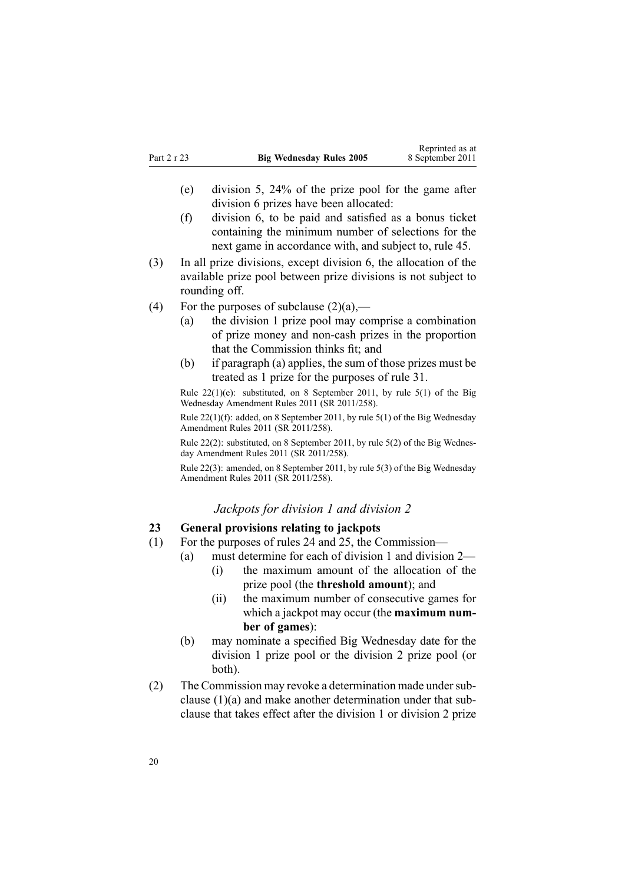- <span id="page-19-0"></span>(e) division 5, 24% of the prize pool for the game after division 6 prizes have been allocated:
- (f) division 6, to be paid and satisfied as <sup>a</sup> bonus ticket containing the minimum number of selections for the next game in accordance with, and subject to, [rule](#page-31-0) 45.
- (3) In all prize divisions, excep<sup>t</sup> division 6, the allocation of the available prize pool between prize divisions is not subject to rounding off.
- (4) For the purposes of subclause  $(2)(a)$ ,—
	- (a) the division 1 prize pool may comprise <sup>a</sup> combination of prize money and non-cash prizes in the proportion that the Commission thinks fit; and
	- (b) if paragraph (a) applies, the sum of those prizes must be treated as 1 prize for the purposes of [rule](#page-22-0) 31.

Rule 22(1)(e): substituted, on 8 September 2011, by rule [5\(1\)](http://www.legislation.govt.nz/pdflink.aspx?id=DLM3848530) of the Big Wednesday Amendment Rules 2011 (SR 2011/258).

Rule 22(1)(f): added, on 8 September 2011, by rule [5\(1\)](http://www.legislation.govt.nz/pdflink.aspx?id=DLM3848530) of the Big Wednesday Amendment Rules 2011 (SR 2011/258).

Rule 22(2): substituted, on 8 September 2011, by rule [5\(2\)](http://www.legislation.govt.nz/pdflink.aspx?id=DLM3848530) of the Big Wednesday Amendment Rules 2011 (SR 2011/258).

Rule 22(3): amended, on 8 September 2011, by rule [5\(3\)](http://www.legislation.govt.nz/pdflink.aspx?id=DLM3848530) of the Big Wednesday Amendment Rules 2011 (SR 2011/258).

#### *Jackpots for division 1 and division 2*

## **23 General provisions relating to jackpots**

- (1) For the purposes of [rules](#page-20-0) 24 and [25](#page-20-0), the Commission—
	- (a) must determine for each of division 1 and division 2—
		- (i) the maximum amount of the allocation of the prize pool (the **threshold amount**); and
		- (ii) the maximum number of consecutive games for which <sup>a</sup> jackpot may occur (the **maximum number of games**):
	- (b) may nominate <sup>a</sup> specified Big Wednesday date for the division 1 prize pool or the division 2 prize pool (or both).
- (2) The Commission may revoke a determination made under subclause (1)(a) and make another determination under that subclause that takes effect after the division 1 or division 2 prize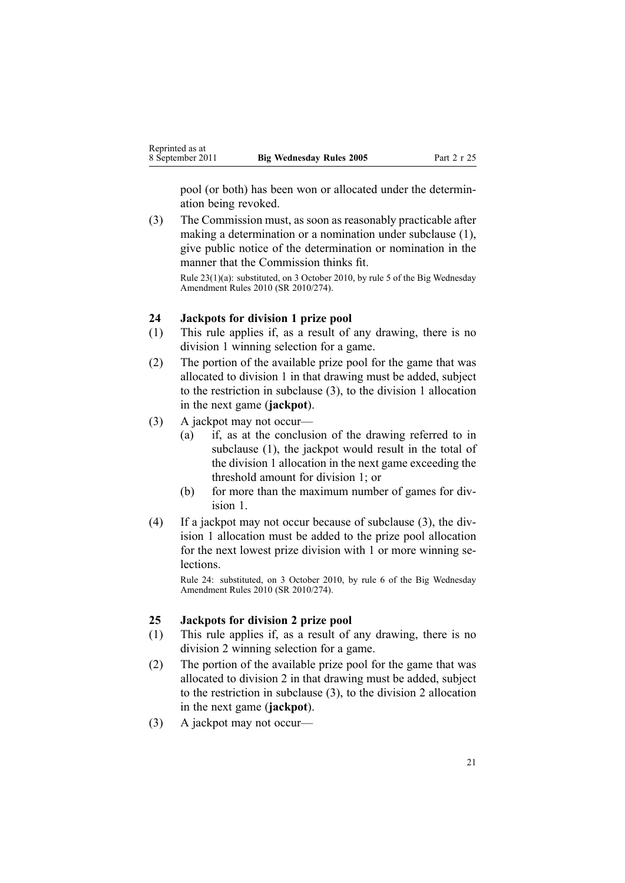<span id="page-20-0"></span>pool (or both) has been won or allocated under the determination being revoked.

(3) The Commission must, as soon as reasonably practicable after making <sup>a</sup> determination or <sup>a</sup> nomination under subclause (1), give public notice of the determination or nomination in the manner that the Commission thinks fit.

Rule 23(1)(a): substituted, on 3 October 2010, by [rule](http://www.legislation.govt.nz/pdflink.aspx?id=DLM3166114) 5 of the Big Wednesday Amendment Rules 2010 (SR 2010/274).

#### **24 Jackpots for division 1 prize pool**

- (1) This rule applies if, as <sup>a</sup> result of any drawing, there is no division 1 winning selection for <sup>a</sup> game.
- (2) The portion of the available prize pool for the game that was allocated to division 1 in that drawing must be added, subject to the restriction in subclause (3), to the division 1 allocation in the next game (**jackpot**).
- (3) A jackpot may not occur—
	- (a) if, as at the conclusion of the drawing referred to in subclause (1), the jackpot would result in the total of the division 1 allocation in the next game exceeding the threshold amount for division 1; or
	- (b) for more than the maximum number of games for division 1.
- (4) If <sup>a</sup> jackpot may not occur because of subclause (3), the division 1 allocation must be added to the prize pool allocation for the next lowest prize division with 1 or more winning selections.

Rule 24: substituted, on 3 October 2010, by [rule](http://www.legislation.govt.nz/pdflink.aspx?id=DLM3166115) 6 of the Big Wednesday Amendment Rules 2010 (SR 2010/274).

#### **25 Jackpots for division 2 prize pool**

- (1) This rule applies if, as <sup>a</sup> result of any drawing, there is no division 2 winning selection for <sup>a</sup> game.
- (2) The portion of the available prize pool for the game that was allocated to division 2 in that drawing must be added, subject to the restriction in subclause (3), to the division 2 allocation in the next game (**jackpot**).
- (3) A jackpot may not occur—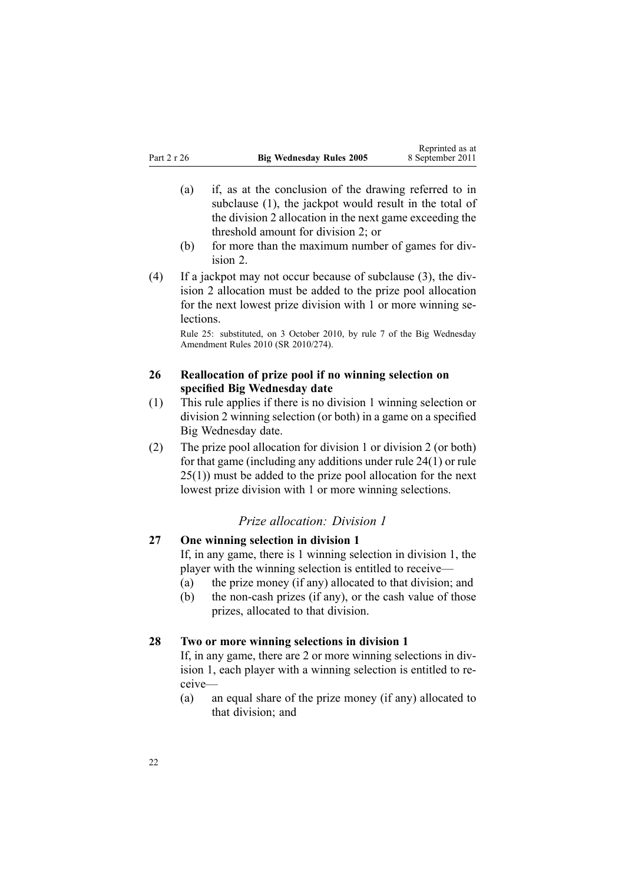- <span id="page-21-0"></span>(a) if, as at the conclusion of the drawing referred to in subclause (1), the jackpot would result in the total of the division 2 allocation in the next game exceeding the threshold amount for division 2; or
- (b) for more than the maximum number of games for division 2.
- (4) If <sup>a</sup> jackpot may not occur because of subclause (3), the division 2 allocation must be added to the prize pool allocation for the next lowest prize division with 1 or more winning se**lections**

Rule 25: substituted, on 3 October 2010, by [rule](http://www.legislation.govt.nz/pdflink.aspx?id=DLM3166117) 7 of the Big Wednesday Amendment Rules 2010 (SR 2010/274).

## **26 Reallocation of prize pool if no winning selection on specified Big Wednesday date**

- (1) This rule applies if there is no division 1 winning selection or division 2 winning selection (or both) in <sup>a</sup> game on <sup>a</sup> specified Big Wednesday date.
- (2) The prize pool allocation for division 1 or division 2 (or both) for that game (including any additions under rule [24\(1\)](#page-20-0) or [rule](#page-20-0) [25\(1\)\)](#page-20-0) must be added to the prize pool allocation for the next lowest prize division with 1 or more winning selections.

## *Prize allocation: Division 1*

# **27 One winning selection in division 1**

If, in any game, there is 1 winning selection in division 1, the player with the winning selection is entitled to receive—

- (a) the prize money (if any) allocated to that division; and
- (b) the non-cash prizes (if any), or the cash value of those prizes, allocated to that division.

#### **28 Two or more winning selections in division 1**

If, in any game, there are 2 or more winning selections in division 1, each player with <sup>a</sup> winning selection is entitled to receive—

(a) an equal share of the prize money (if any) allocated to that division; and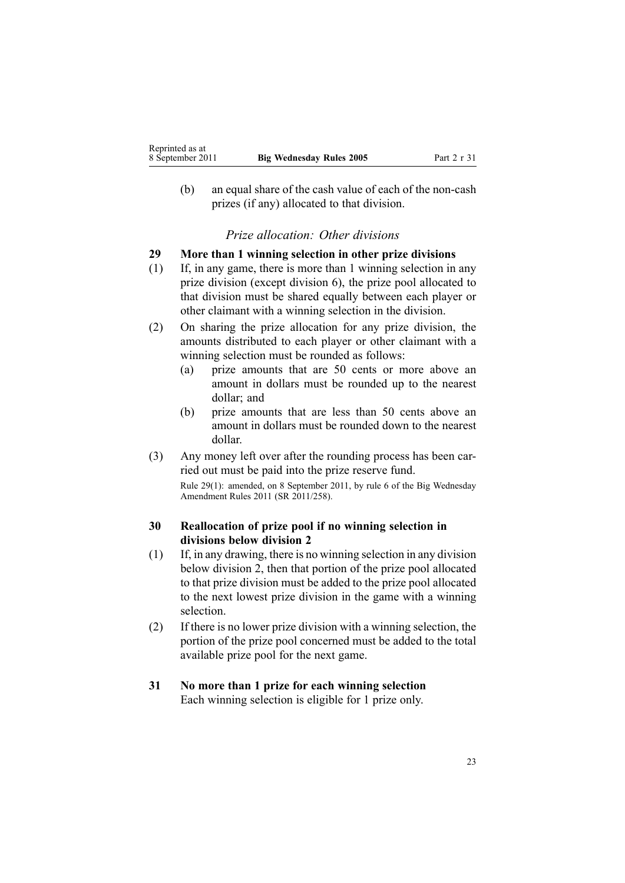<span id="page-22-0"></span>(b) an equal share of the cash value of each of the non-cash prizes (if any) allocated to that division.

## *Prize allocation: Other divisions*

## **29 More than 1 winning selection in other prize divisions**

- (1) If, in any game, there is more than 1 winning selection in any prize division (except division 6), the prize pool allocated to that division must be shared equally between each player or other claimant with <sup>a</sup> winning selection in the division.
- (2) On sharing the prize allocation for any prize division, the amounts distributed to each player or other claimant with <sup>a</sup> winning selection must be rounded as follows:
	- (a) prize amounts that are 50 cents or more above an amount in dollars must be rounded up to the nearest dollar; and
	- (b) prize amounts that are less than 50 cents above an amount in dollars must be rounded down to the nearest dollar.
- (3) Any money left over after the rounding process has been carried out must be paid into the prize reserve fund.

Rule 29(1): amended, on 8 September 2011, by [rule](http://www.legislation.govt.nz/pdflink.aspx?id=DLM3855300) 6 of the Big Wednesday Amendment Rules 2011 (SR 2011/258).

# **30 Reallocation of prize pool if no winning selection in divisions below division 2**

- (1) If, in any drawing, there is no winning selection in any division below division 2, then that portion of the prize pool allocated to that prize division must be added to the prize pool allocated to the next lowest prize division in the game with <sup>a</sup> winning selection.
- (2) If there is no lower prize division with <sup>a</sup> winning selection, the portion of the prize pool concerned must be added to the total available prize pool for the next game.

#### **31 No more than 1 prize for each winning selection** Each winning selection is eligible for 1 prize only.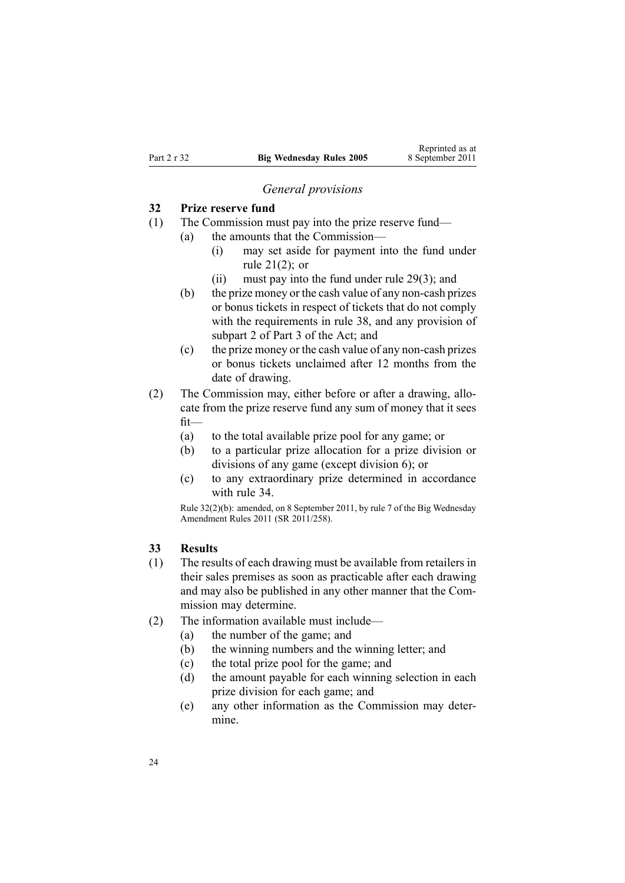#### *General provisions*

## <span id="page-23-0"></span>**32 Prize reserve fund**

- (1) The Commission must pay into the prize reserve fund—
	- (a) the amounts that the Commission—
		- (i) may set aside for paymen<sup>t</sup> into the fund under rule [21\(2\)](#page-17-0); or
		- (ii) must pay into the fund under rule [29\(3\)](#page-22-0); and
	- (b) the prize money or the cash value of any non-cash prizes or bonus tickets in respec<sup>t</sup> of tickets that do not comply with the requirements in [rule](#page-26-0) 38, and any provision of [subpart](http://www.legislation.govt.nz/pdflink.aspx?id=DLM209728) 2 of Part 3 of the Act; and
	- (c) the prize money or the cash value of any non-cash prizes or bonus tickets unclaimed after 12 months from the date of drawing.
- (2) The Commission may, either before or after <sup>a</sup> drawing, allocate from the prize reserve fund any sum of money that it sees fit—
	- (a) to the total available prize pool for any game; or
	- (b) to <sup>a</sup> particular prize allocation for <sup>a</sup> prize division or divisions of any game (except division 6); or
	- (c) to any extraordinary prize determined in accordance with [rule](#page-24-0) 34.

Rule 32(2)(b): amended, on 8 September 2011, by [rule](http://www.legislation.govt.nz/pdflink.aspx?id=DLM3848531) 7 of the Big Wednesday Amendment Rules 2011 (SR 2011/258).

#### **33 Results**

- (1) The results of each drawing must be available from retailers in their sales premises as soon as practicable after each drawing and may also be published in any other manner that the Commission may determine.
- (2) The information available must include—
	- (a) the number of the game; and
	- (b) the winning numbers and the winning letter; and
	- (c) the total prize pool for the game; and
	- (d) the amount payable for each winning selection in each prize division for each game; and
	- (e) any other information as the Commission may determine.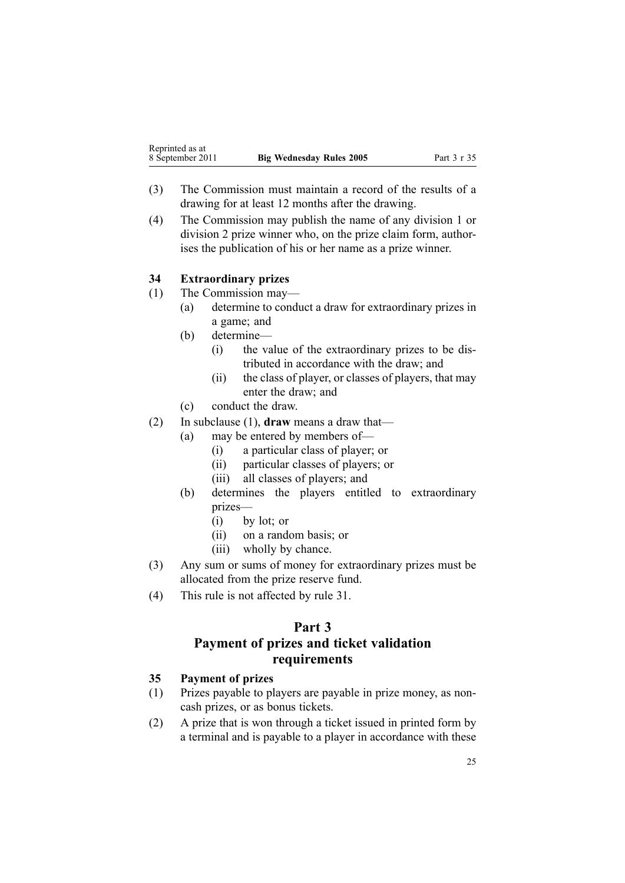- <span id="page-24-0"></span>(3) The Commission must maintain <sup>a</sup> record of the results of <sup>a</sup> drawing for at least 12 months after the drawing.
- (4) The Commission may publish the name of any division 1 or division 2 prize winner who, on the prize claim form, authorises the publication of his or her name as <sup>a</sup> prize winner.

# **34 Extraordinary prizes**

(1) The Commission may—

- (a) determine to conduct <sup>a</sup> draw for extraordinary prizes in <sup>a</sup> game; and
- (b) determine—
	- (i) the value of the extraordinary prizes to be distributed in accordance with the draw; and
	- (ii) the class of player, or classes of players, that may enter the draw; and
- (c) conduct the draw.
- (2) In subclause (1), **draw** means <sup>a</sup> draw that—
	- (a) may be entered by members of—
		- (i) <sup>a</sup> particular class of player; or
		- (ii) particular classes of players; or
		- (iii) all classes of players; and
	- (b) determines the players entitled to extraordinary prizes—
		- (i) by lot; or
		- (ii) on <sup>a</sup> random basis; or
		- (iii) wholly by chance.
- (3) Any sum or sums of money for extraordinary prizes must be allocated from the prize reserve fund.
- (4) This rule is not affected by [rule](#page-22-0) 31.

# **Part 3**

# **Payment of prizes and ticket validation requirements**

# **35 Payment of prizes**

- (1) Prizes payable to players are payable in prize money, as noncash prizes, or as bonus tickets.
- (2) A prize that is won through <sup>a</sup> ticket issued in printed form by <sup>a</sup> terminal and is payable to <sup>a</sup> player in accordance with these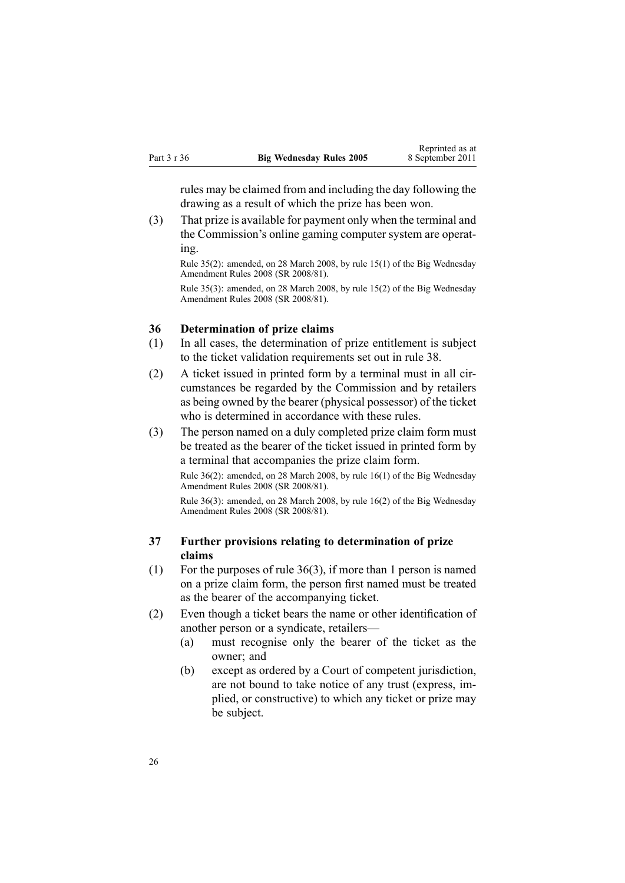<span id="page-25-0"></span>rules may be claimed from and including the day following the drawing as <sup>a</sup> result of which the prize has been won.

(3) That prize is available for paymen<sup>t</sup> only when the terminal and the Commission's online gaming computer system are operating.

Rule 35(2): amended, on 28 March 2008, by rule [15\(1\)](http://www.legislation.govt.nz/pdflink.aspx?id=DLM1221032) of the Big Wednesday Amendment Rules 2008 (SR 2008/81).

Rule 35(3): amended, on 28 March 2008, by rule [15\(2\)](http://www.legislation.govt.nz/pdflink.aspx?id=DLM1221032) of the Big Wednesday Amendment Rules 2008 (SR 2008/81).

## **36 Determination of prize claims**

- (1) In all cases, the determination of prize entitlement is subject to the ticket validation requirements set out in [rule](#page-26-0) 38.
- (2) A ticket issued in printed form by <sup>a</sup> terminal must in all circumstances be regarded by the Commission and by retailers as being owned by the bearer (physical possessor) of the ticket who is determined in accordance with these rules.
- (3) The person named on <sup>a</sup> duly completed prize claim form must be treated as the bearer of the ticket issued in printed form by <sup>a</sup> terminal that accompanies the prize claim form.

Rule 36(2): amended, on 28 March 2008, by rule [16\(1\)](http://www.legislation.govt.nz/pdflink.aspx?id=DLM1221033) of the Big Wednesday Amendment Rules 2008 (SR 2008/81).

Rule 36(3): amended, on 28 March 2008, by rule [16\(2\)](http://www.legislation.govt.nz/pdflink.aspx?id=DLM1221033) of the Big Wednesday Amendment Rules 2008 (SR 2008/81).

## **37 Further provisions relating to determination of prize claims**

- (1) For the purposes of rule 36(3), if more than 1 person is named on <sup>a</sup> prize claim form, the person first named must be treated as the bearer of the accompanying ticket.
- (2) Even though <sup>a</sup> ticket bears the name or other identification of another person or <sup>a</sup> syndicate, retailers—
	- (a) must recognise only the bearer of the ticket as the owner; and
	- (b) excep<sup>t</sup> as ordered by <sup>a</sup> Court of competent jurisdiction, are not bound to take notice of any trust (express, implied, or constructive) to which any ticket or prize may be subject.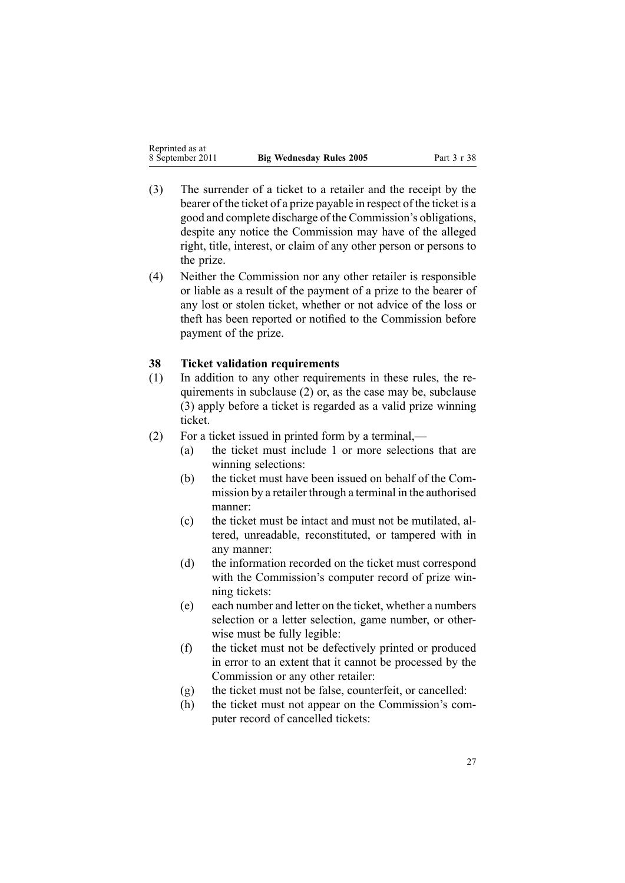| Reprinted as at  |                                 |
|------------------|---------------------------------|
| 8 September 2011 | <b>Big Wednesday Rules 2005</b> |

<span id="page-26-0"></span>Reprinted as at

- (3) The surrender of <sup>a</sup> ticket to <sup>a</sup> retailer and the receipt by the bearer of the ticket of <sup>a</sup> prize payable in respec<sup>t</sup> of the ticket is <sup>a</sup> good and complete discharge of the Commission's obligations, despite any notice the Commission may have of the alleged right, title, interest, or claim of any other person or persons to the prize.
- (4) Neither the Commission nor any other retailer is responsible or liable as <sup>a</sup> result of the paymen<sup>t</sup> of <sup>a</sup> prize to the bearer of any lost or stolen ticket, whether or not advice of the loss or theft has been reported or notified to the Commission before paymen<sup>t</sup> of the prize.

## **38 Ticket validation requirements**

- (1) In addition to any other requirements in these rules, the requirements in subclause (2) or, as the case may be, subclause (3) apply before <sup>a</sup> ticket is regarded as <sup>a</sup> valid prize winning ticket.
- (2) For <sup>a</sup> ticket issued in printed form by <sup>a</sup> terminal,—
	- (a) the ticket must include 1 or more selections that are winning selections:
	- (b) the ticket must have been issued on behalf of the Commission by <sup>a</sup> retailer through <sup>a</sup> terminal in the authorised manner:
	- (c) the ticket must be intact and must not be mutilated, altered, unreadable, reconstituted, or tampered with in any manner:
	- (d) the information recorded on the ticket must correspond with the Commission's computer record of prize winning tickets:
	- (e) each number and letter on the ticket, whether <sup>a</sup> numbers selection or <sup>a</sup> letter selection, game number, or otherwise must be fully legible:
	- (f) the ticket must not be defectively printed or produced in error to an extent that it cannot be processed by the Commission or any other retailer:
	- (g) the ticket must not be false, counterfeit, or cancelled:
	- (h) the ticket must not appear on the Commission's computer record of cancelled tickets: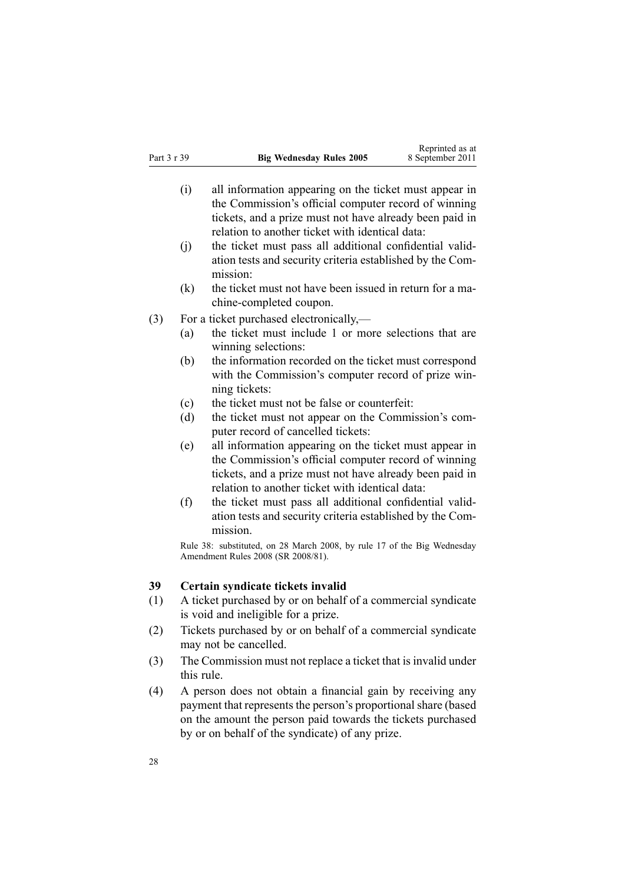- <span id="page-27-0"></span>(i) all information appearing on the ticket must appear in the Commission's official computer record of winning tickets, and <sup>a</sup> prize must not have already been paid in relation to another ticket with identical data:
- (j) the ticket must pass all additional confidential validation tests and security criteria established by the Commission:
- (k) the ticket must not have been issued in return for <sup>a</sup> machine-completed coupon.
- (3) For <sup>a</sup> ticket purchased electronically,—
	- (a) the ticket must include 1 or more selections that are winning selections:
	- (b) the information recorded on the ticket must correspond with the Commission's computer record of prize winning tickets:
	- (c) the ticket must not be false or counterfeit:
	- (d) the ticket must not appear on the Commission's computer record of cancelled tickets:
	- (e) all information appearing on the ticket must appear in the Commission's official computer record of winning tickets, and <sup>a</sup> prize must not have already been paid in relation to another ticket with identical data:
	- (f) the ticket must pass all additional confidential validation tests and security criteria established by the Commission.

Rule 38: substituted, on 28 March 2008, by [rule](http://www.legislation.govt.nz/pdflink.aspx?id=DLM1221034) 17 of the Big Wednesday Amendment Rules 2008 (SR 2008/81).

### **39 Certain syndicate tickets invalid**

- (1) A ticket purchased by or on behalf of <sup>a</sup> commercial syndicate is void and ineligible for <sup>a</sup> prize.
- (2) Tickets purchased by or on behalf of <sup>a</sup> commercial syndicate may not be cancelled.
- (3) The Commission must not replace <sup>a</sup> ticket that is invalid under this rule.
- (4) A person does not obtain <sup>a</sup> financial gain by receiving any paymen<sup>t</sup> that represents the person's proportional share (based on the amount the person paid towards the tickets purchased by or on behalf of the syndicate) of any prize.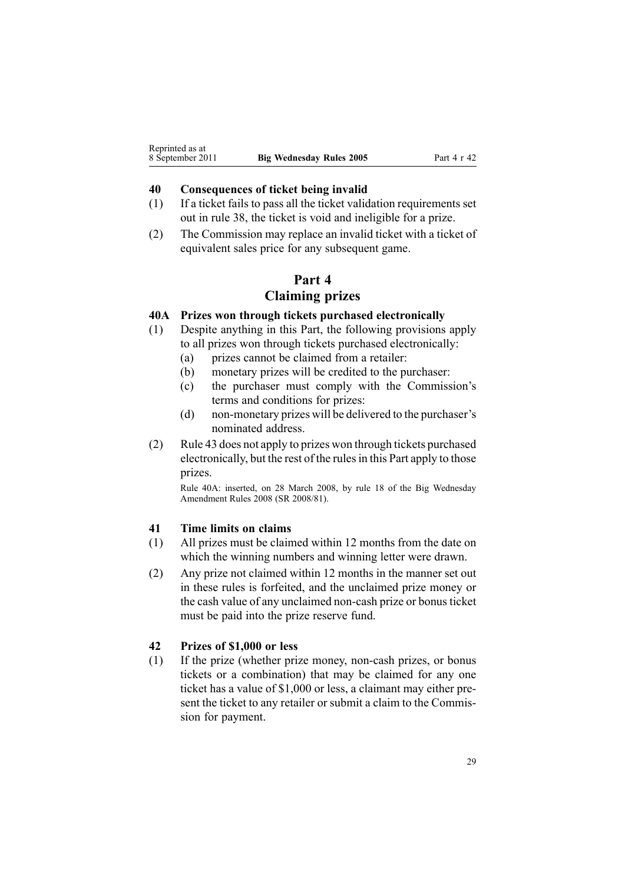## <span id="page-28-0"></span>**40 Consequences of ticket being invalid**

- (1) If <sup>a</sup> ticket fails to pass all the ticket validation requirements set out in [rule](#page-26-0) 38, the ticket is void and ineligible for <sup>a</sup> prize.
- (2) The Commission may replace an invalid ticket with <sup>a</sup> ticket of equivalent sales price for any subsequent game.

# **Part 4**

# **Claiming prizes**

# **40A Prizes won through tickets purchased electronically**

- (1) Despite anything in this Part, the following provisions apply to all prizes won through tickets purchased electronically:
	- (a) prizes cannot be claimed from <sup>a</sup> retailer:
	- (b) monetary prizes will be credited to the purchaser:
	- (c) the purchaser must comply with the Commission's terms and conditions for prizes:
	- (d) non-monetary prizes will be delivered to the purchaser's nominated address.
- (2) [Rule](#page-29-0) 43 does not apply to prizes won through tickets purchased electronically, but the rest of the rulesin this Part apply to those prizes.

Rule 40A: inserted, on 28 March 2008, by [rule](http://www.legislation.govt.nz/pdflink.aspx?id=DLM1221036) 18 of the Big Wednesday Amendment Rules 2008 (SR 2008/81).

# **41 Time limits on claims**

- (1) All prizes must be claimed within 12 months from the date on which the winning numbers and winning letter were drawn.
- (2) Any prize not claimed within 12 months in the manner set out in these rules is forfeited, and the unclaimed prize money or the cash value of any unclaimed non-cash prize or bonus ticket must be paid into the prize reserve fund.

# **42 Prizes of \$1,000 or less**

(1) If the prize (whether prize money, non-cash prizes, or bonus tickets or <sup>a</sup> combination) that may be claimed for any one ticket has <sup>a</sup> value of \$1,000 or less, <sup>a</sup> claimant may either present the ticket to any retailer or submit <sup>a</sup> claim to the Commission for payment.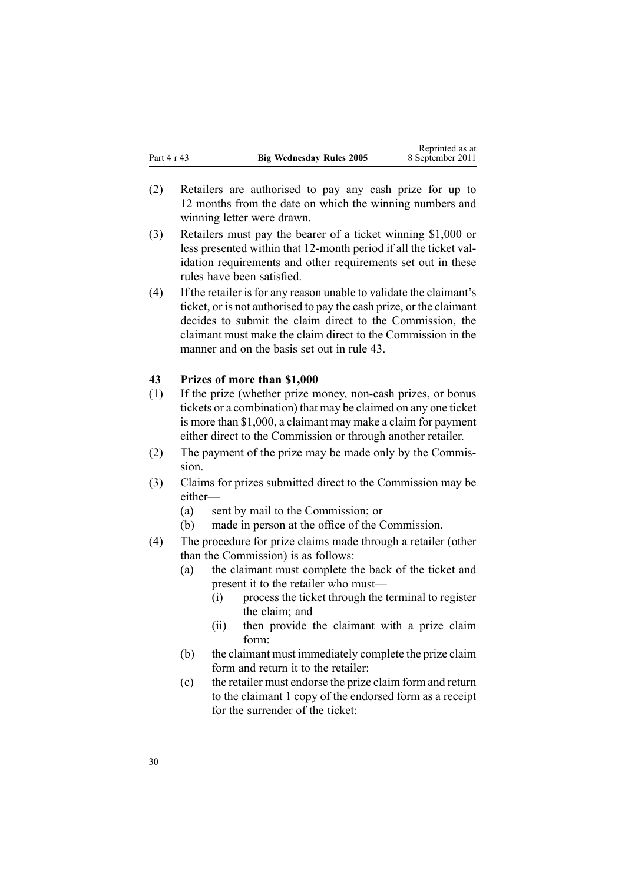- <span id="page-29-0"></span>(2) Retailers are authorised to pay any cash prize for up to 12 months from the date on which the winning numbers and winning letter were drawn.
- (3) Retailers must pay the bearer of <sup>a</sup> ticket winning \$1,000 or less presented within that 12-month period if all the ticket validation requirements and other requirements set out in these rules have been satisfied.
- (4) If the retailer is for any reason unable to validate the claimant's ticket, or is not authorised to pay the cash prize, or the claimant decides to submit the claim direct to the Commission, the claimant must make the claim direct to the Commission in the manner and on the basis set out in rule 43.

#### **43 Prizes of more than \$1,000**

- (1) If the prize (whether prize money, non-cash prizes, or bonus tickets or <sup>a</sup> combination) that may be claimed on any one ticket is more than \$1,000, <sup>a</sup> claimant may make <sup>a</sup> claim for paymen<sup>t</sup> either direct to the Commission or through another retailer.
- (2) The paymen<sup>t</sup> of the prize may be made only by the Commission.
- (3) Claims for prizes submitted direct to the Commission may be either—
	- (a) sent by mail to the Commission; or
	- (b) made in person at the office of the Commission.
- (4) The procedure for prize claims made through <sup>a</sup> retailer (other than the Commission) is as follows:
	- (a) the claimant must complete the back of the ticket and presen<sup>t</sup> it to the retailer who must—
		- (i) process the ticket through the terminal to register the claim; and
		- (ii) then provide the claimant with <sup>a</sup> prize claim form:
	- (b) the claimant must immediately complete the prize claim form and return it to the retailer:
	- (c) the retailer must endorse the prize claim form and return to the claimant 1 copy of the endorsed form as <sup>a</sup> receipt for the surrender of the ticket: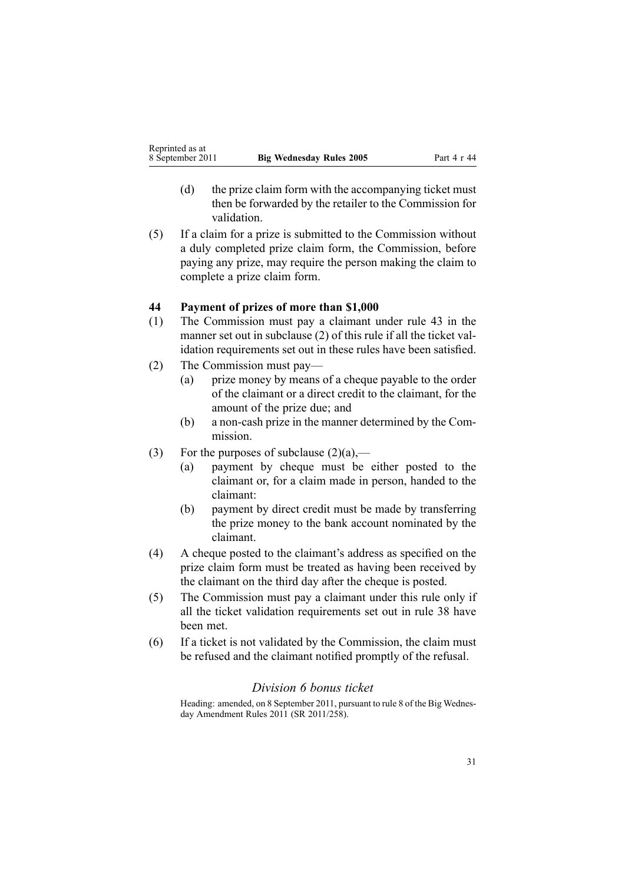- <span id="page-30-0"></span>(d) the prize claim form with the accompanying ticket must then be forwarded by the retailer to the Commission for validation.
- (5) If <sup>a</sup> claim for <sup>a</sup> prize is submitted to the Commission without <sup>a</sup> duly completed prize claim form, the Commission, before paying any prize, may require the person making the claim to complete <sup>a</sup> prize claim form.

## **44 Payment of prizes of more than \$1,000**

- (1) The Commission must pay <sup>a</sup> claimant under [rule](#page-29-0) 43 in the manner set out in subclause (2) of this rule if all the ticket validation requirements set out in these rules have been satisfied.
- (2) The Commission must pay—
	- (a) prize money by means of <sup>a</sup> cheque payable to the order of the claimant or <sup>a</sup> direct credit to the claimant, for the amount of the prize due; and
	- (b) <sup>a</sup> non-cash prize in the manner determined by the Commission.
- (3) For the purposes of subclause  $(2)(a)$ ,—
	- (a) paymen<sup>t</sup> by cheque must be either posted to the claimant or, for <sup>a</sup> claim made in person, handed to the claimant:
	- (b) paymen<sup>t</sup> by direct credit must be made by transferring the prize money to the bank account nominated by the claimant.
- (4) A cheque posted to the claimant's address as specified on the prize claim form must be treated as having been received by the claimant on the third day after the cheque is posted.
- (5) The Commission must pay <sup>a</sup> claimant under this rule only if all the ticket validation requirements set out in [rule](#page-26-0) 38 have been met.
- (6) If <sup>a</sup> ticket is not validated by the Commission, the claim must be refused and the claimant notified promptly of the refusal.

# *Division 6 bonus ticket*

Heading: amended, on 8 September 2011, pursuan<sup>t</sup> to [rule](http://www.legislation.govt.nz/pdflink.aspx?id=DLM3848532) 8 of the Big Wednesday Amendment Rules 2011 (SR 2011/258).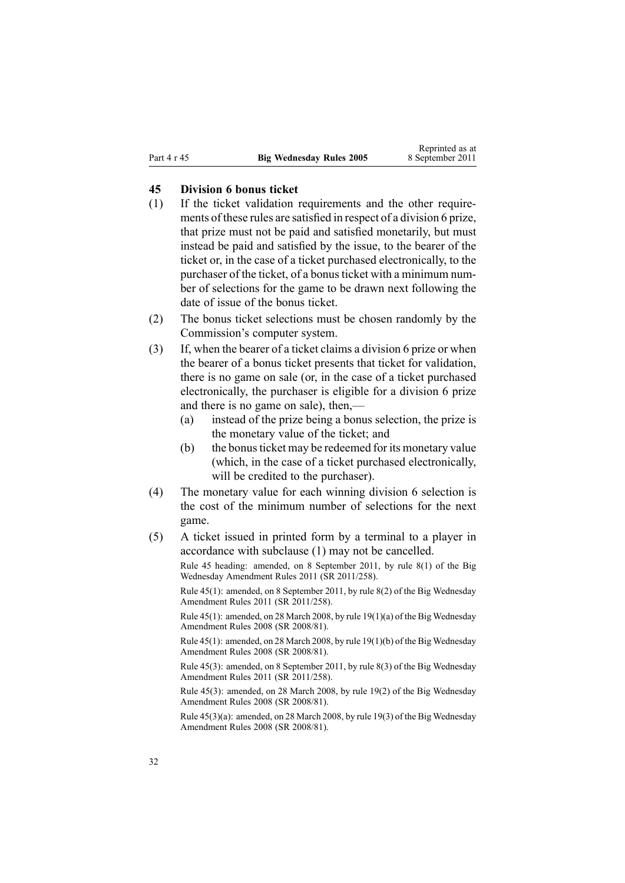#### <span id="page-31-0"></span>**45 Division 6 bonus ticket**

- (1) If the ticket validation requirements and the other requirements of these rules are satisfied in respec<sup>t</sup> of <sup>a</sup> division 6 prize, that prize must not be paid and satisfied monetarily, but must instead be paid and satisfied by the issue, to the bearer of the ticket or, in the case of <sup>a</sup> ticket purchased electronically, to the purchaser of the ticket, of a bonus ticket with a minimum number of selections for the game to be drawn next following the date of issue of the bonus ticket.
- (2) The bonus ticket selections must be chosen randomly by the Commission's computer system.
- (3) If, when the bearer of <sup>a</sup> ticket claims <sup>a</sup> division 6 prize or when the bearer of <sup>a</sup> bonus ticket presents that ticket for validation, there is no game on sale (or, in the case of <sup>a</sup> ticket purchased electronically, the purchaser is eligible for <sup>a</sup> division 6 prize and there is no game on sale), then,—
	- (a) instead of the prize being <sup>a</sup> bonus selection, the prize is the monetary value of the ticket; and
	- (b) the bonusticket may be redeemed for its monetary value (which, in the case of <sup>a</sup> ticket purchased electronically, will be credited to the purchaser).
- (4) The monetary value for each winning division 6 selection is the cost of the minimum number of selections for the next game.
- (5) A ticket issued in printed form by <sup>a</sup> terminal to <sup>a</sup> player in accordance with subclause (1) may not be cancelled.

Rule 45 heading: amended, on 8 September 2011, by rule [8\(1\)](http://www.legislation.govt.nz/pdflink.aspx?id=DLM3848532) of the Big Wednesday Amendment Rules 2011 (SR 2011/258).

Rule 45(1): amended, on 8 September 2011, by rule [8\(2\)](http://www.legislation.govt.nz/pdflink.aspx?id=DLM3848532) of the Big Wednesday Amendment Rules 2011 (SR 2011/258).

Rule 45(1): amended, on 28 March 2008, by rule [19\(1\)\(a\)](http://www.legislation.govt.nz/pdflink.aspx?id=DLM1221038) of the Big Wednesday Amendment Rules 2008 (SR 2008/81).

Rule 45(1): amended, on 28 March 2008, by rule [19\(1\)\(b\)](http://www.legislation.govt.nz/pdflink.aspx?id=DLM1221038) of the Big Wednesday Amendment Rules 2008 (SR 2008/81).

Rule 45(3): amended, on 8 September 2011, by rule [8\(3\)](http://www.legislation.govt.nz/pdflink.aspx?id=DLM3848532) of the Big Wednesday Amendment Rules 2011 (SR 2011/258).

Rule 45(3): amended, on 28 March 2008, by rule [19\(2\)](http://www.legislation.govt.nz/pdflink.aspx?id=DLM1221038) of the Big Wednesday Amendment Rules 2008 (SR 2008/81).

Rule 45(3)(a): amended, on 28 March 2008, by rule [19\(3\)](http://www.legislation.govt.nz/pdflink.aspx?id=DLM1221038) of the Big Wednesday Amendment Rules 2008 (SR 2008/81).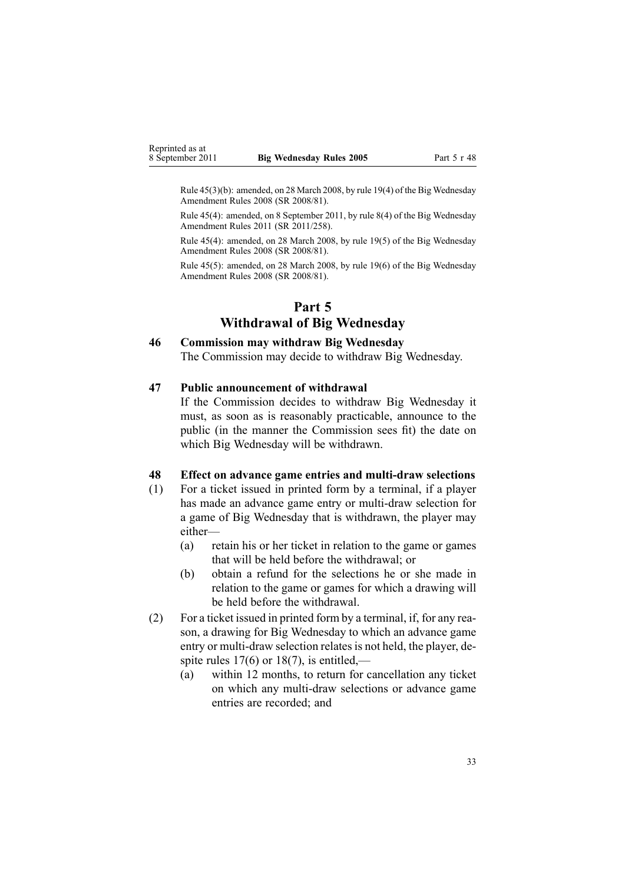<span id="page-32-0"></span>Rule 45(3)(b): amended, on 28 March 2008, by rule [19\(4\)](http://www.legislation.govt.nz/pdflink.aspx?id=DLM1221038) of the Big Wednesday Amendment Rules 2008 (SR 2008/81).

Rule 45(4): amended, on 8 September 2011, by rule [8\(4\)](http://www.legislation.govt.nz/pdflink.aspx?id=DLM3848532) of the Big Wednesday Amendment Rules 2011 (SR 2011/258).

Rule 45(4): amended, on 28 March 2008, by rule [19\(5\)](http://www.legislation.govt.nz/pdflink.aspx?id=DLM1221038) of the Big Wednesday Amendment Rules 2008 (SR 2008/81).

Rule 45(5): amended, on 28 March 2008, by rule [19\(6\)](http://www.legislation.govt.nz/pdflink.aspx?id=DLM1221038) of the Big Wednesday Amendment Rules 2008 (SR 2008/81).

# **Part 5 Withdrawal of Big Wednesday**

#### **46 Commission may withdraw Big Wednesday**

The Commission may decide to withdraw Big Wednesday.

#### **47 Public announcement of withdrawal**

If the Commission decides to withdraw Big Wednesday it must, as soon as is reasonably practicable, announce to the public (in the manner the Commission sees fit) the date on which Big Wednesday will be withdrawn.

#### **48 Effect on advance game entries and multi-draw selections**

- (1) For <sup>a</sup> ticket issued in printed form by <sup>a</sup> terminal, if <sup>a</sup> player has made an advance game entry or multi-draw selection for <sup>a</sup> game of Big Wednesday that is withdrawn, the player may either—
	- (a) retain his or her ticket in relation to the game or games that will be held before the withdrawal; or
	- (b) obtain <sup>a</sup> refund for the selections he or she made in relation to the game or games for which <sup>a</sup> drawing will be held before the withdrawal.
- (2) For <sup>a</sup> ticket issued in printed form by <sup>a</sup> terminal, if, for any reason, <sup>a</sup> drawing for Big Wednesday to which an advance game entry or multi-draw selection relates is not held, the player, despite rules  $17(6)$  or  $18(7)$ , is entitled,—
	- (a) within 12 months, to return for cancellation any ticket on which any multi-draw selections or advance game entries are recorded; and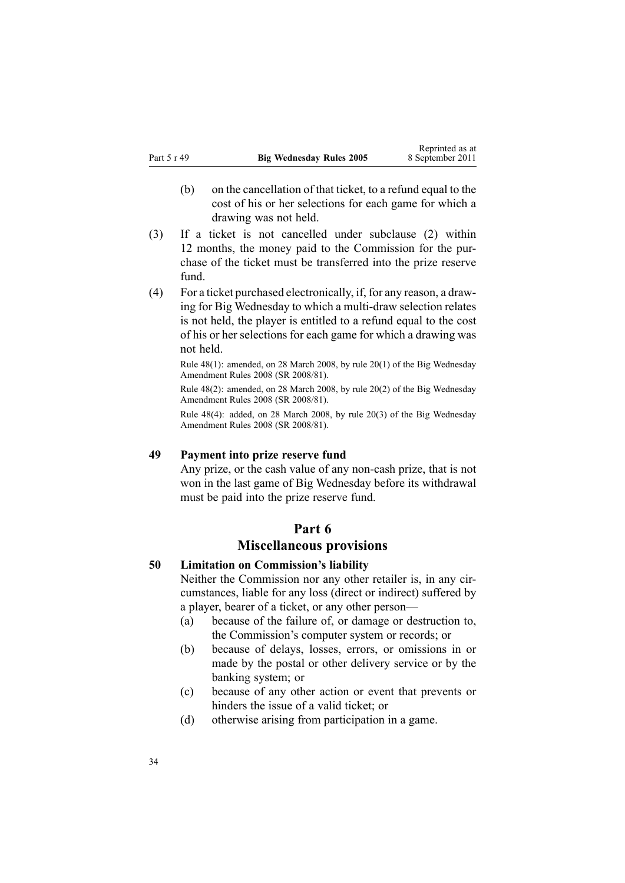- <span id="page-33-0"></span>(b) on the cancellation of that ticket, to <sup>a</sup> refund equal to the cost of his or her selections for each game for which <sup>a</sup> drawing was not held.
- (3) If <sup>a</sup> ticket is not cancelled under subclause (2) within 12 months, the money paid to the Commission for the purchase of the ticket must be transferred into the prize reserve fund.
- (4) For <sup>a</sup> ticket purchased electronically, if, for any reason, <sup>a</sup> drawing for Big Wednesday to which <sup>a</sup> multi-draw selection relates is not held, the player is entitled to <sup>a</sup> refund equal to the cost of his or her selections for each game for which <sup>a</sup> drawing was not held.

Rule 48(1): amended, on 28 March 2008, by rule [20\(1\)](http://www.legislation.govt.nz/pdflink.aspx?id=DLM1221039) of the Big Wednesday Amendment Rules 2008 (SR 2008/81).

Rule 48(2): amended, on 28 March 2008, by rule [20\(2\)](http://www.legislation.govt.nz/pdflink.aspx?id=DLM1221039) of the Big Wednesday Amendment Rules 2008 (SR 2008/81).

Rule 48(4): added, on 28 March 2008, by rule [20\(3\)](http://www.legislation.govt.nz/pdflink.aspx?id=DLM1221039) of the Big Wednesday Amendment Rules 2008 (SR 2008/81).

## **49 Payment into prize reserve fund**

Any prize, or the cash value of any non-cash prize, that is not won in the last game of Big Wednesday before its withdrawal must be paid into the prize reserve fund.

## **Part 6**

# **Miscellaneous provisions**

#### **50 Limitation on Commission's liability**

Neither the Commission nor any other retailer is, in any circumstances, liable for any loss (direct or indirect) suffered by <sup>a</sup> player, bearer of <sup>a</sup> ticket, or any other person—

- (a) because of the failure of, or damage or destruction to, the Commission's computer system or records; or
- (b) because of delays, losses, errors, or omissions in or made by the postal or other delivery service or by the banking system; or
- (c) because of any other action or event that prevents or hinders the issue of <sup>a</sup> valid ticket; or
- (d) otherwise arising from participation in <sup>a</sup> game.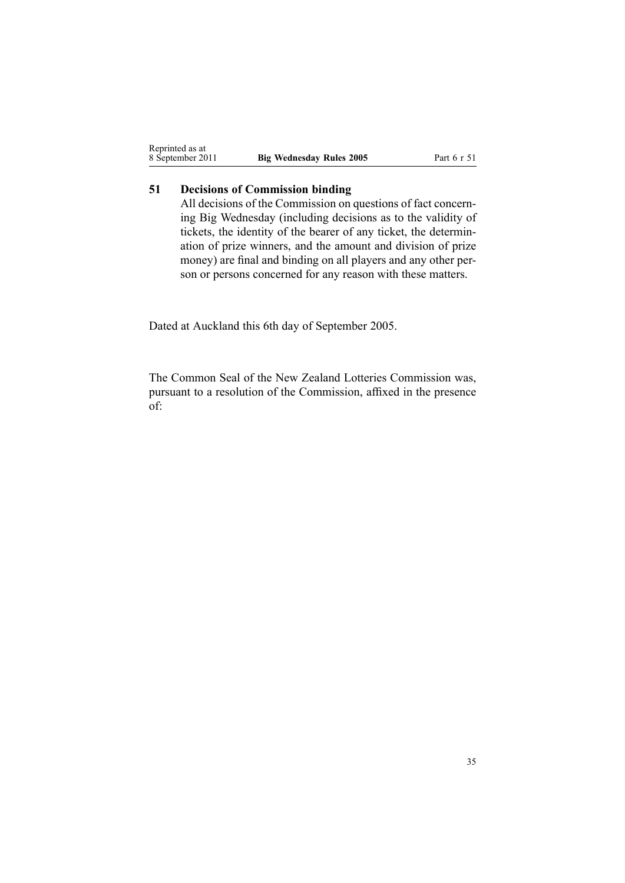<span id="page-34-0"></span>

| Reprinted as at  |                                 |
|------------------|---------------------------------|
| 8 September 2011 | <b>Big Wednesday Rules 2005</b> |

# **51 Decisions of Commission binding**

All decisions of the Commission on questions of fact concerning Big Wednesday (including decisions as to the validity of tickets, the identity of the bearer of any ticket, the determination of prize winners, and the amount and division of prize money) are final and binding on all players and any other person or persons concerned for any reason with these matters.

Dated at Auckland this 6th day of September 2005.

The Common Seal of the New Zealand Lotteries Commission was, pursuan<sup>t</sup> to <sup>a</sup> resolution of the Commission, affixed in the presence of:

8 September 2011 **Big Wednesday Rules 2005** Part 6 <sup>r</sup> 51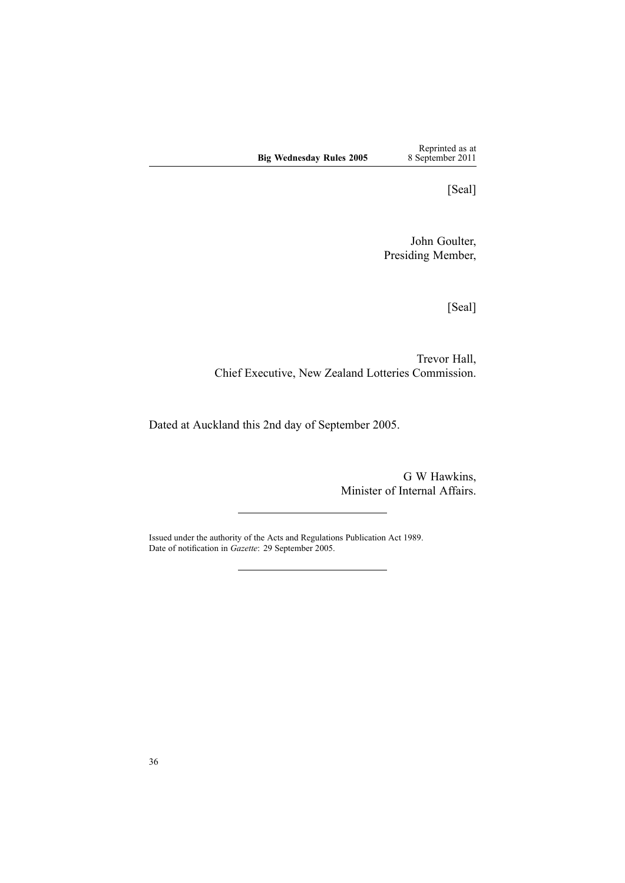Reprinted as at 8 September 2011

[Seal]

John Goulter, Presiding Member,

[Seal]

Trevor Hall, Chief Executive, New Zealand Lotteries Commission.

Dated at Auckland this 2nd day of September 2005.

G W Hawkins, Minister of Internal Affairs.

Issued under the authority of the Acts and [Regulations](http://www.legislation.govt.nz/pdflink.aspx?id=DLM195097) Publication Act 1989. Date of notification in *Gazette*: 29 September 2005.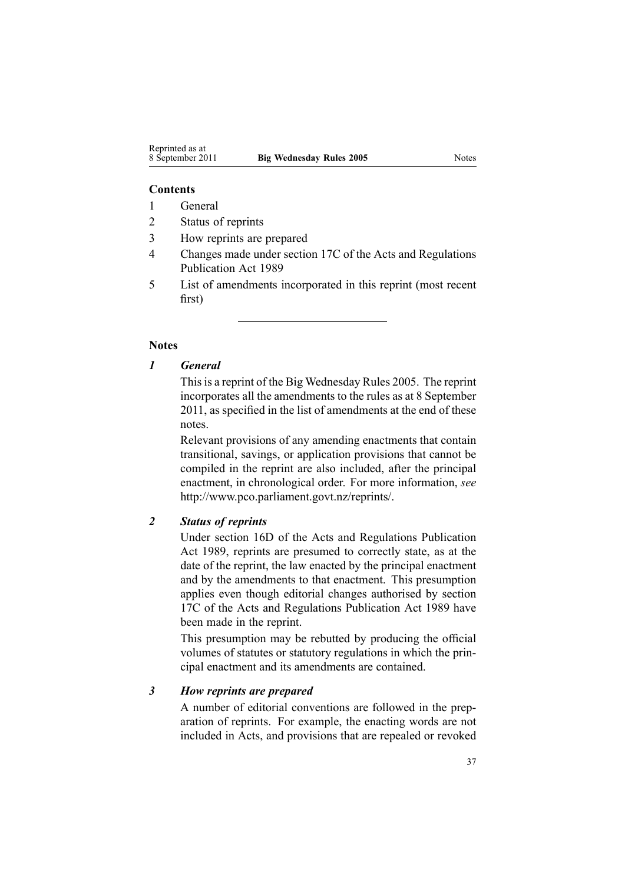#### **Contents**

- 1 General
- 2 Status of reprints
- 3 How reprints are prepared
- 4 Changes made under section 17C of the Acts and Regulations Publication Act 1989
- 5 List of amendments incorporated in this reprint (most recent first)

#### **Notes**

## *1 General*

This is a reprint of the Big Wednesday Rules 2005. The reprint incorporates all the amendments to the rules as at 8 September 2011, as specified in the list of amendments at the end of these notes.

Relevant provisions of any amending enactments that contain transitional, savings, or application provisions that cannot be compiled in the reprint are also included, after the principal enactment, in chronological order. For more information, *see* <http://www.pco.parliament.govt.nz/reprints/>.

# *2 Status of reprints*

Under [section](http://www.legislation.govt.nz/pdflink.aspx?id=DLM195439) 16D of the Acts and Regulations Publication Act 1989, reprints are presumed to correctly state, as at the date of the reprint, the law enacted by the principal enactment and by the amendments to that enactment. This presumption applies even though editorial changes authorised by [section](http://www.legislation.govt.nz/pdflink.aspx?id=DLM195466) [17C](http://www.legislation.govt.nz/pdflink.aspx?id=DLM195466) of the Acts and Regulations Publication Act 1989 have been made in the reprint.

This presumption may be rebutted by producing the official volumes of statutes or statutory regulations in which the principal enactment and its amendments are contained.

#### *3 How reprints are prepared*

A number of editorial conventions are followed in the preparation of reprints. For example, the enacting words are not included in Acts, and provisions that are repealed or revoked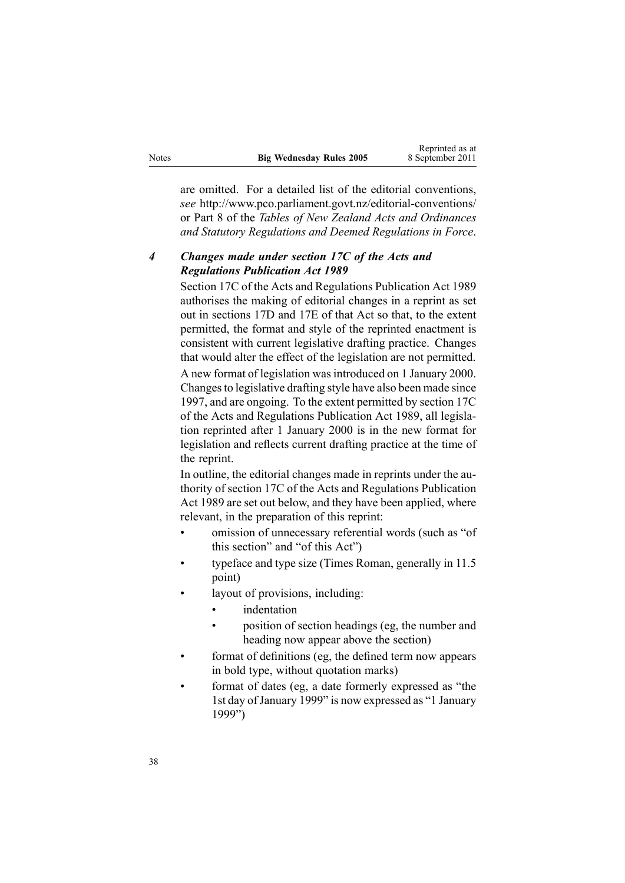|       |                                 | wepimwa as a     |
|-------|---------------------------------|------------------|
| Notes | <b>Big Wednesday Rules 2005</b> | 8 September 2011 |

Reprinted as at

are omitted. For <sup>a</sup> detailed list of the editorial conventions, *see* [http://www.pco.parliament.govt.nz/editorial-conventions/](http://www.pco.parliament.govt.nz/editorial-conventions/ ) or Part 8 of the *Tables of New Zealand Acts and Ordinances and Statutory Regulations and Deemed Regulations in Force*.

## *4 Changes made under section 17C of the Acts and Regulations Publication Act 1989*

[Section](http://www.legislation.govt.nz/pdflink.aspx?id=DLM195466) 17C of the Acts and Regulations Publication Act 1989 authorises the making of editorial changes in <sup>a</sup> reprint as set out in [sections](http://www.legislation.govt.nz/pdflink.aspx?id=DLM195468) 17D and [17E](http://www.legislation.govt.nz/pdflink.aspx?id=DLM195470) of that Act so that, to the extent permitted, the format and style of the reprinted enactment is consistent with current legislative drafting practice. Changes that would alter the effect of the legislation are not permitted.

A new format of legislation wasintroduced on 1 January 2000. Changesto legislative drafting style have also been made since 1997, and are ongoing. To the extent permitted by [section](http://www.legislation.govt.nz/pdflink.aspx?id=DLM195466) 17C of the Acts and Regulations Publication Act 1989, all legislation reprinted after 1 January 2000 is in the new format for legislation and reflects current drafting practice at the time of the reprint.

In outline, the editorial changes made in reprints under the authority of [section](http://www.legislation.govt.nz/pdflink.aspx?id=DLM195466) 17C of the Acts and Regulations Publication Act 1989 are set out below, and they have been applied, where relevant, in the preparation of this reprint:

- • omission of unnecessary referential words (such as "of this section" and "of this Act")
- • typeface and type size (Times Roman, generally in 11.5 point)
- • layout of provisions, including:
	- •indentation
	- • position of section headings (eg, the number and heading now appear above the section)
- • format of definitions (eg, the defined term now appears in bold type, without quotation marks)
- • format of dates (eg, <sup>a</sup> date formerly expressed as "the 1st day of January 1999" is now expressed as "1 January 1999")